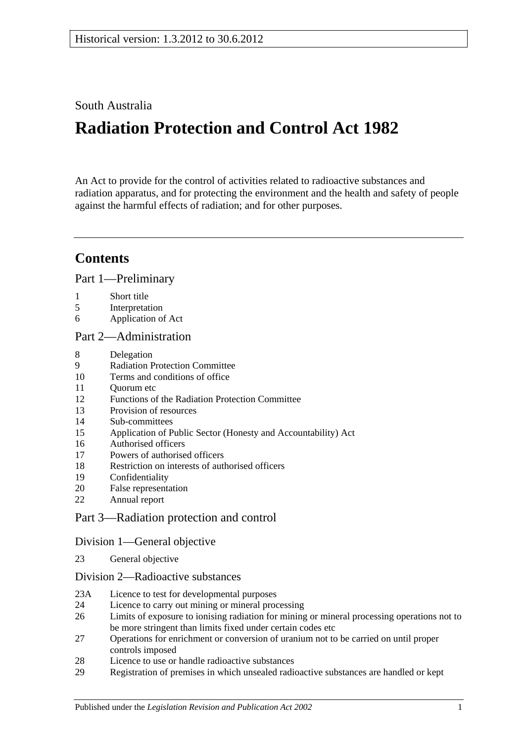South Australia

# **Radiation Protection and Control Act 1982**

An Act to provide for the control of activities related to radioactive substances and radiation apparatus, and for protecting the environment and the health and safety of people against the harmful effects of radiation; and for other purposes.

# **Contents**

[Part 1—Preliminary](#page-2-0)

- 1 [Short title](#page-2-1)
- 5 [Interpretation](#page-2-2)
- 6 [Application of Act](#page-4-0)

### [Part 2—Administration](#page-4-1)

- 8 [Delegation](#page-4-2)
- 9 [Radiation Protection Committee](#page-4-3)
- 10 [Terms and conditions of office](#page-5-0)
- 11 [Quorum etc](#page-5-1)
- 12 [Functions of the Radiation Protection Committee](#page-6-0)
- 13 [Provision of resources](#page-6-1)
- 14 [Sub-committees](#page-6-2)
- 15 [Application of Public Sector \(Honesty and Accountability\) Act](#page-7-0)
- 16 [Authorised officers](#page-7-1)
- 17 [Powers of authorised officers](#page-8-0)
- 18 [Restriction on interests of authorised officers](#page-9-0)
- 19 [Confidentiality](#page-10-0)
- 20 [False representation](#page-10-1)
- 22 [Annual report](#page-10-2)

### [Part 3—Radiation protection and control](#page-10-3)

### [Division 1—General objective](#page-10-4)

23 [General objective](#page-10-5)

### [Division 2—Radioactive substances](#page-11-0)

- 23A [Licence to test for developmental purposes](#page-11-1)
- 24 [Licence to carry out mining or mineral processing](#page-12-0)
- 26 [Limits of exposure to ionising radiation for mining or mineral processing operations not to](#page-13-0)  [be more stringent than limits fixed under certain codes etc](#page-13-0)
- 27 [Operations for enrichment or conversion of uranium not to be carried on until proper](#page-13-1)  [controls imposed](#page-13-1)
- 28 [Licence to use or handle radioactive substances](#page-13-2)
- 29 [Registration of premises in which unsealed radioactive substances are handled or kept](#page-14-0)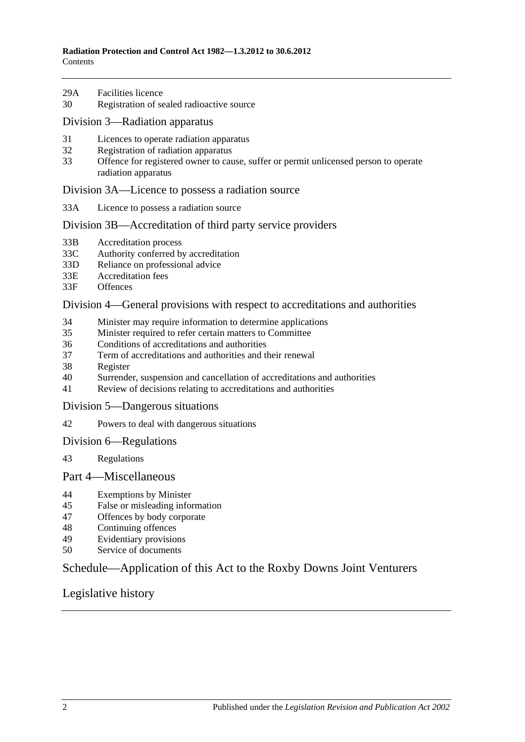- 29A [Facilities licence](#page-14-1)
- 30 [Registration of sealed radioactive source](#page-15-0)

#### [Division 3—Radiation apparatus](#page-15-1)

- 31 [Licences to operate radiation apparatus](#page-15-2)
- 32 [Registration of radiation apparatus](#page-16-0)
- 33 [Offence for registered owner to cause, suffer or permit unlicensed person to operate](#page-17-0)  [radiation apparatus](#page-17-0)

#### [Division 3A—Licence to possess a radiation source](#page-17-1)

33A [Licence to possess a radiation source](#page-17-2)

#### [Division 3B—Accreditation of third party service providers](#page-18-0)

- 33B [Accreditation process](#page-18-1)
- 33C [Authority conferred by accreditation](#page-18-2)
- 33D [Reliance on professional advice](#page-18-3)
- 33E [Accreditation fees](#page-19-0)
- 33F [Offences](#page-19-1)

#### [Division 4—General provisions with respect to accreditations and authorities](#page-19-2)

- 34 [Minister may require information to determine applications](#page-19-3)
- 35 [Minister required to refer certain matters to Committee](#page-19-4)
- 36 [Conditions of accreditations and authorities](#page-20-0)
- 37 [Term of accreditations and authorities and their renewal](#page-20-1)
- 38 [Register](#page-21-0)
- 40 [Surrender, suspension and cancellation of accreditations and authorities](#page-21-1)
- 41 [Review of decisions relating to accreditations and authorities](#page-22-0)
- [Division 5—Dangerous situations](#page-23-0)
- 42 [Powers to deal with dangerous situations](#page-23-1)

#### [Division 6—Regulations](#page-24-0)

43 [Regulations](#page-24-1)

#### [Part 4—Miscellaneous](#page-25-0)

- 44 [Exemptions by Minister](#page-25-1)
- 45 [False or misleading information](#page-26-0)
- 47 [Offences by body corporate](#page-26-1)
- 48 [Continuing offences](#page-26-2)
- 49 [Evidentiary provisions](#page-27-0)
- 50 [Service of documents](#page-27-1)

### [Schedule—Application of this Act to the Roxby Downs Joint Venturers](#page-27-2)

### [Legislative history](#page-30-0)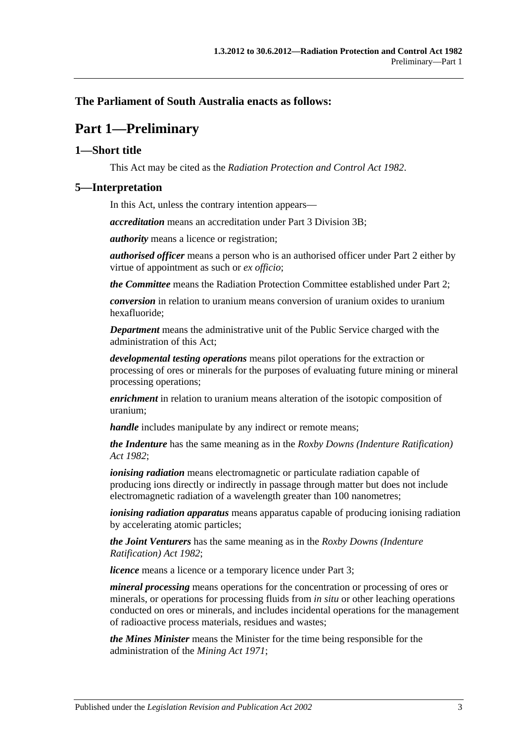### <span id="page-2-0"></span>**The Parliament of South Australia enacts as follows:**

# **Part 1—Preliminary**

### <span id="page-2-1"></span>**1—Short title**

This Act may be cited as the *Radiation Protection and Control Act 1982*.

### <span id="page-2-2"></span>**5—Interpretation**

In this Act, unless the contrary intention appears—

*accreditation* means an accreditation under [Part 3 Division 3B;](#page-18-0)

*authority* means a licence or registration;

*authorised officer* means a person who is an authorised officer under [Part 2](#page-4-1) either by virtue of appointment as such or *ex officio*;

*the Committee* means the Radiation Protection Committee established under [Part 2;](#page-4-1)

*conversion* in relation to uranium means conversion of uranium oxides to uranium hexafluoride;

*Department* means the administrative unit of the Public Service charged with the administration of this Act;

*developmental testing operations* means pilot operations for the extraction or processing of ores or minerals for the purposes of evaluating future mining or mineral processing operations;

*enrichment* in relation to uranium means alteration of the isotopic composition of uranium;

*handle* includes manipulate by any indirect or remote means;

*the Indenture* has the same meaning as in the *[Roxby Downs \(Indenture Ratification\)](http://www.legislation.sa.gov.au/index.aspx?action=legref&type=act&legtitle=Roxby%20Downs%20(Indenture%20Ratification)%20Act%201982)  Act [1982](http://www.legislation.sa.gov.au/index.aspx?action=legref&type=act&legtitle=Roxby%20Downs%20(Indenture%20Ratification)%20Act%201982)*;

*ionising radiation* means electromagnetic or particulate radiation capable of producing ions directly or indirectly in passage through matter but does not include electromagnetic radiation of a wavelength greater than 100 nanometres;

*ionising radiation apparatus* means apparatus capable of producing ionising radiation by accelerating atomic particles;

*the Joint Venturers* has the same meaning as in the *[Roxby Downs \(Indenture](http://www.legislation.sa.gov.au/index.aspx?action=legref&type=act&legtitle=Roxby%20Downs%20(Indenture%20Ratification)%20Act%201982)  [Ratification\) Act](http://www.legislation.sa.gov.au/index.aspx?action=legref&type=act&legtitle=Roxby%20Downs%20(Indenture%20Ratification)%20Act%201982) 1982*;

*licence* means a licence or a temporary licence under [Part 3;](#page-10-3)

*mineral processing* means operations for the concentration or processing of ores or minerals, or operations for processing fluids from *in situ* or other leaching operations conducted on ores or minerals, and includes incidental operations for the management of radioactive process materials, residues and wastes;

*the Mines Minister* means the Minister for the time being responsible for the administration of the *[Mining Act](http://www.legislation.sa.gov.au/index.aspx?action=legref&type=act&legtitle=Mining%20Act%201971) 1971*;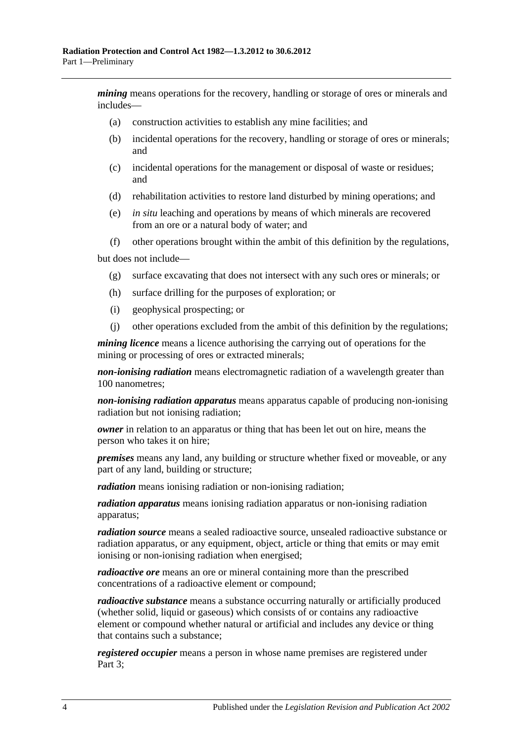*mining* means operations for the recovery, handling or storage of ores or minerals and includes—

- (a) construction activities to establish any mine facilities; and
- (b) incidental operations for the recovery, handling or storage of ores or minerals; and
- (c) incidental operations for the management or disposal of waste or residues; and
- (d) rehabilitation activities to restore land disturbed by mining operations; and
- (e) *in situ* leaching and operations by means of which minerals are recovered from an ore or a natural body of water; and
- (f) other operations brought within the ambit of this definition by the regulations,

but does not include—

- (g) surface excavating that does not intersect with any such ores or minerals; or
- (h) surface drilling for the purposes of exploration; or
- (i) geophysical prospecting; or
- (j) other operations excluded from the ambit of this definition by the regulations;

*mining licence* means a licence authorising the carrying out of operations for the mining or processing of ores or extracted minerals;

*non-ionising radiation* means electromagnetic radiation of a wavelength greater than 100 nanometres;

*non-ionising radiation apparatus* means apparatus capable of producing non-ionising radiation but not ionising radiation;

*owner* in relation to an apparatus or thing that has been let out on hire, means the person who takes it on hire;

*premises* means any land, any building or structure whether fixed or moveable, or any part of any land, building or structure;

*radiation* means ionising radiation or non-ionising radiation;

*radiation apparatus* means ionising radiation apparatus or non-ionising radiation apparatus;

*radiation source* means a sealed radioactive source, unsealed radioactive substance or radiation apparatus, or any equipment, object, article or thing that emits or may emit ionising or non-ionising radiation when energised;

*radioactive ore* means an ore or mineral containing more than the prescribed concentrations of a radioactive element or compound;

*radioactive substance* means a substance occurring naturally or artificially produced (whether solid, liquid or gaseous) which consists of or contains any radioactive element or compound whether natural or artificial and includes any device or thing that contains such a substance;

*registered occupier* means a person in whose name premises are registered under [Part](#page-10-3) 3;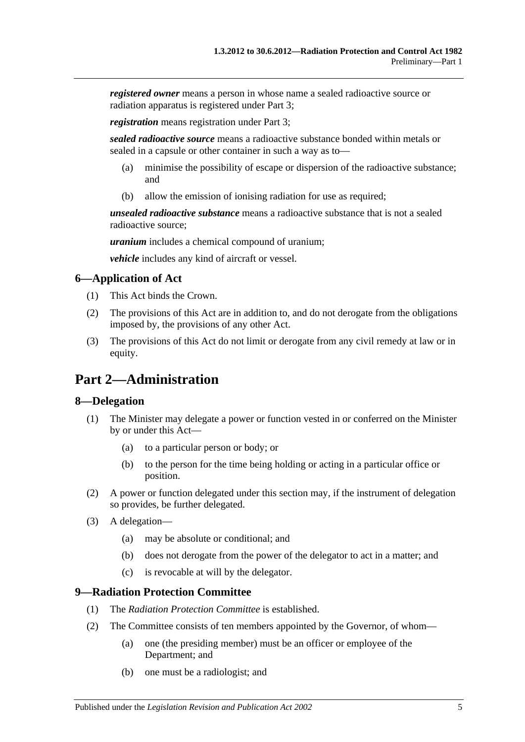*registered owner* means a person in whose name a sealed radioactive source or radiation apparatus is registered under [Part 3;](#page-10-3)

*registration* means registration under [Part 3;](#page-10-3)

*sealed radioactive source* means a radioactive substance bonded within metals or sealed in a capsule or other container in such a way as to—

- (a) minimise the possibility of escape or dispersion of the radioactive substance; and
- (b) allow the emission of ionising radiation for use as required;

*unsealed radioactive substance* means a radioactive substance that is not a sealed radioactive source;

*uranium* includes a chemical compound of uranium;

*vehicle* includes any kind of aircraft or vessel.

### <span id="page-4-0"></span>**6—Application of Act**

- (1) This Act binds the Crown.
- (2) The provisions of this Act are in addition to, and do not derogate from the obligations imposed by, the provisions of any other Act.
- (3) The provisions of this Act do not limit or derogate from any civil remedy at law or in equity.

# <span id="page-4-1"></span>**Part 2—Administration**

### <span id="page-4-2"></span>**8—Delegation**

- (1) The Minister may delegate a power or function vested in or conferred on the Minister by or under this Act—
	- (a) to a particular person or body; or
	- (b) to the person for the time being holding or acting in a particular office or position.
- (2) A power or function delegated under this section may, if the instrument of delegation so provides, be further delegated.
- (3) A delegation—
	- (a) may be absolute or conditional; and
	- (b) does not derogate from the power of the delegator to act in a matter; and
	- (c) is revocable at will by the delegator.

### <span id="page-4-3"></span>**9—Radiation Protection Committee**

- (1) The *Radiation Protection Committee* is established.
- <span id="page-4-4"></span>(2) The Committee consists of ten members appointed by the Governor, of whom—
	- (a) one (the presiding member) must be an officer or employee of the Department; and
	- (b) one must be a radiologist; and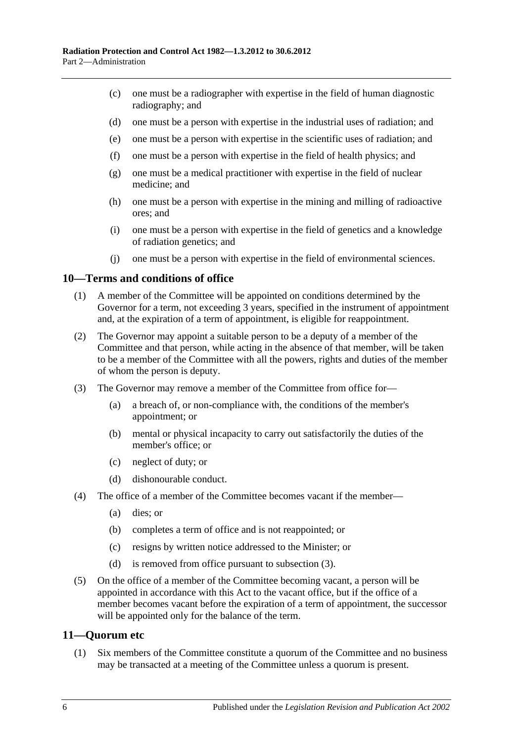- <span id="page-5-3"></span>(c) one must be a radiographer with expertise in the field of human diagnostic radiography; and
- <span id="page-5-6"></span>(d) one must be a person with expertise in the industrial uses of radiation; and
- <span id="page-5-7"></span>(e) one must be a person with expertise in the scientific uses of radiation; and
- <span id="page-5-10"></span>(f) one must be a person with expertise in the field of health physics; and
- <span id="page-5-4"></span>(g) one must be a medical practitioner with expertise in the field of nuclear medicine; and
- <span id="page-5-8"></span>(h) one must be a person with expertise in the mining and milling of radioactive ores; and
- <span id="page-5-5"></span>(i) one must be a person with expertise in the field of genetics and a knowledge of radiation genetics; and
- (j) one must be a person with expertise in the field of environmental sciences.

#### <span id="page-5-9"></span><span id="page-5-0"></span>**10—Terms and conditions of office**

- (1) A member of the Committee will be appointed on conditions determined by the Governor for a term, not exceeding 3 years, specified in the instrument of appointment and, at the expiration of a term of appointment, is eligible for reappointment.
- (2) The Governor may appoint a suitable person to be a deputy of a member of the Committee and that person, while acting in the absence of that member, will be taken to be a member of the Committee with all the powers, rights and duties of the member of whom the person is deputy.
- <span id="page-5-2"></span>(3) The Governor may remove a member of the Committee from office for—
	- (a) a breach of, or non-compliance with, the conditions of the member's appointment; or
	- (b) mental or physical incapacity to carry out satisfactorily the duties of the member's office; or
	- (c) neglect of duty; or
	- (d) dishonourable conduct.
- (4) The office of a member of the Committee becomes vacant if the member—
	- (a) dies; or
	- (b) completes a term of office and is not reappointed; or
	- (c) resigns by written notice addressed to the Minister; or
	- (d) is removed from office pursuant to [subsection](#page-5-2) (3).
- (5) On the office of a member of the Committee becoming vacant, a person will be appointed in accordance with this Act to the vacant office, but if the office of a member becomes vacant before the expiration of a term of appointment, the successor will be appointed only for the balance of the term.

### <span id="page-5-1"></span>**11—Quorum etc**

(1) Six members of the Committee constitute a quorum of the Committee and no business may be transacted at a meeting of the Committee unless a quorum is present.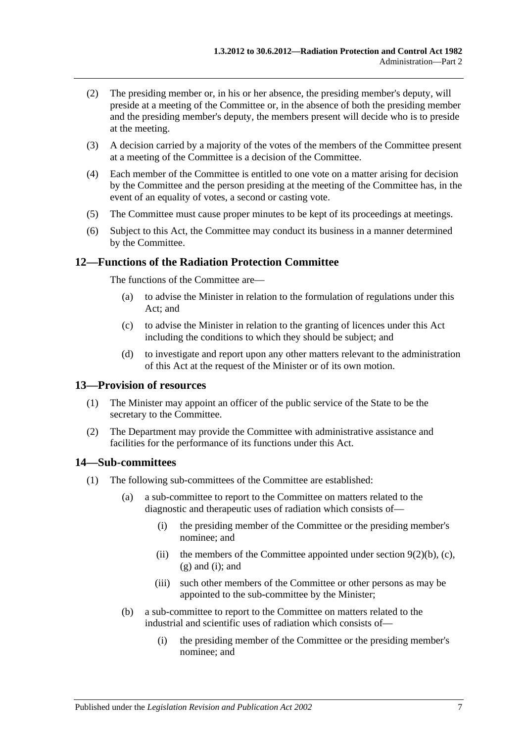- (2) The presiding member or, in his or her absence, the presiding member's deputy, will preside at a meeting of the Committee or, in the absence of both the presiding member and the presiding member's deputy, the members present will decide who is to preside at the meeting.
- (3) A decision carried by a majority of the votes of the members of the Committee present at a meeting of the Committee is a decision of the Committee.
- (4) Each member of the Committee is entitled to one vote on a matter arising for decision by the Committee and the person presiding at the meeting of the Committee has, in the event of an equality of votes, a second or casting vote.
- (5) The Committee must cause proper minutes to be kept of its proceedings at meetings.
- (6) Subject to this Act, the Committee may conduct its business in a manner determined by the Committee.

### <span id="page-6-0"></span>**12—Functions of the Radiation Protection Committee**

The functions of the Committee are—

- (a) to advise the Minister in relation to the formulation of regulations under this Act; and
- (c) to advise the Minister in relation to the granting of licences under this Act including the conditions to which they should be subject; and
- (d) to investigate and report upon any other matters relevant to the administration of this Act at the request of the Minister or of its own motion.

### <span id="page-6-1"></span>**13—Provision of resources**

- (1) The Minister may appoint an officer of the public service of the State to be the secretary to the Committee.
- (2) The Department may provide the Committee with administrative assistance and facilities for the performance of its functions under this Act.

### <span id="page-6-2"></span>**14—Sub-committees**

- (1) The following sub-committees of the Committee are established:
	- (a) a sub-committee to report to the Committee on matters related to the diagnostic and therapeutic uses of radiation which consists of—
		- (i) the presiding member of the Committee or the presiding member's nominee; and
		- (ii) the members of the Committee appointed under section  $9(2)(b)$ , [\(c\),](#page-5-3)  $(g)$  and  $(i)$ ; and
		- (iii) such other members of the Committee or other persons as may be appointed to the sub-committee by the Minister;
	- (b) a sub-committee to report to the Committee on matters related to the industrial and scientific uses of radiation which consists of—
		- (i) the presiding member of the Committee or the presiding member's nominee; and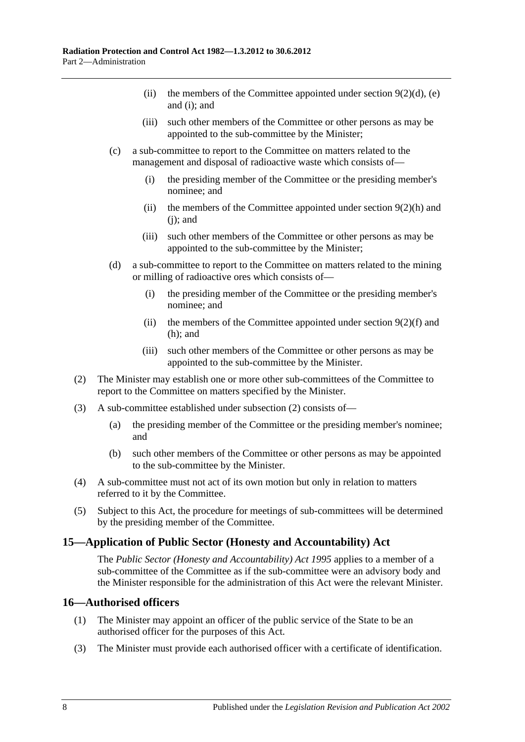- (ii) the members of the Committee appointed under [section](#page-5-6)  $9(2)(d)$ , [\(e\)](#page-5-7) and [\(i\);](#page-5-5) and
- (iii) such other members of the Committee or other persons as may be appointed to the sub-committee by the Minister;
- (c) a sub-committee to report to the Committee on matters related to the management and disposal of radioactive waste which consists of—
	- (i) the presiding member of the Committee or the presiding member's nominee; and
	- (ii) the members of the Committee appointed under [section](#page-5-8)  $9(2)(h)$  and  $(i)$ ; and
	- (iii) such other members of the Committee or other persons as may be appointed to the sub-committee by the Minister;
- (d) a sub-committee to report to the Committee on matters related to the mining or milling of radioactive ores which consists of—
	- (i) the presiding member of the Committee or the presiding member's nominee; and
	- (ii) the members of the Committee appointed under [section](#page-5-10)  $9(2)(f)$  and [\(h\);](#page-5-8) and
	- (iii) such other members of the Committee or other persons as may be appointed to the sub-committee by the Minister.
- <span id="page-7-2"></span>(2) The Minister may establish one or more other sub-committees of the Committee to report to the Committee on matters specified by the Minister.
- (3) A sub-committee established under [subsection](#page-7-2) (2) consists of—
	- (a) the presiding member of the Committee or the presiding member's nominee; and
	- (b) such other members of the Committee or other persons as may be appointed to the sub-committee by the Minister.
- (4) A sub-committee must not act of its own motion but only in relation to matters referred to it by the Committee.
- (5) Subject to this Act, the procedure for meetings of sub-committees will be determined by the presiding member of the Committee.

### <span id="page-7-0"></span>**15—Application of Public Sector (Honesty and Accountability) Act**

The *[Public Sector \(Honesty and Accountability\) Act](http://www.legislation.sa.gov.au/index.aspx?action=legref&type=act&legtitle=Public%20Sector%20(Honesty%20and%20Accountability)%20Act%201995) 1995* applies to a member of a sub-committee of the Committee as if the sub-committee were an advisory body and the Minister responsible for the administration of this Act were the relevant Minister.

### <span id="page-7-1"></span>**16—Authorised officers**

- (1) The Minister may appoint an officer of the public service of the State to be an authorised officer for the purposes of this Act.
- (3) The Minister must provide each authorised officer with a certificate of identification.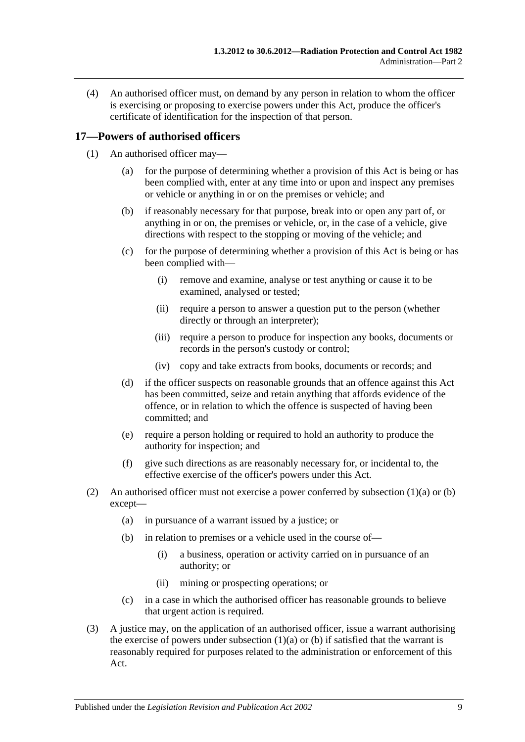(4) An authorised officer must, on demand by any person in relation to whom the officer is exercising or proposing to exercise powers under this Act, produce the officer's certificate of identification for the inspection of that person.

### <span id="page-8-0"></span>**17—Powers of authorised officers**

- <span id="page-8-2"></span><span id="page-8-1"></span>(1) An authorised officer may—
	- (a) for the purpose of determining whether a provision of this Act is being or has been complied with, enter at any time into or upon and inspect any premises or vehicle or anything in or on the premises or vehicle; and
	- (b) if reasonably necessary for that purpose, break into or open any part of, or anything in or on, the premises or vehicle, or, in the case of a vehicle, give directions with respect to the stopping or moving of the vehicle; and
	- (c) for the purpose of determining whether a provision of this Act is being or has been complied with—
		- (i) remove and examine, analyse or test anything or cause it to be examined, analysed or tested;
		- (ii) require a person to answer a question put to the person (whether directly or through an interpreter);
		- (iii) require a person to produce for inspection any books, documents or records in the person's custody or control;
		- (iv) copy and take extracts from books, documents or records; and
	- (d) if the officer suspects on reasonable grounds that an offence against this Act has been committed, seize and retain anything that affords evidence of the offence, or in relation to which the offence is suspected of having been committed; and
	- (e) require a person holding or required to hold an authority to produce the authority for inspection; and
	- (f) give such directions as are reasonably necessary for, or incidental to, the effective exercise of the officer's powers under this Act.
- (2) An authorised officer must not exercise a power conferred by [subsection](#page-8-1)  $(1)(a)$  or  $(b)$ except—
	- (a) in pursuance of a warrant issued by a justice; or
	- (b) in relation to premises or a vehicle used in the course of—
		- (i) a business, operation or activity carried on in pursuance of an authority; or
		- (ii) mining or prospecting operations; or
	- (c) in a case in which the authorised officer has reasonable grounds to believe that urgent action is required.
- (3) A justice may, on the application of an authorised officer, issue a warrant authorising the exercise of powers under [subsection](#page-8-1)  $(1)(a)$  or [\(b\)](#page-8-2) if satisfied that the warrant is reasonably required for purposes related to the administration or enforcement of this Act.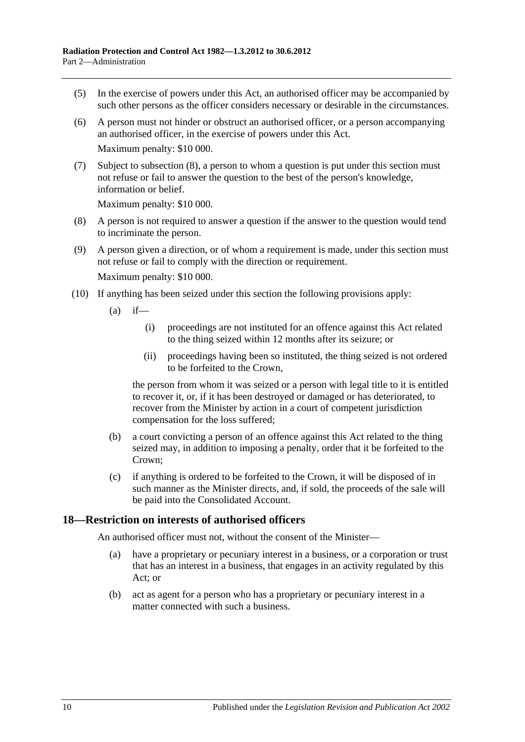- (5) In the exercise of powers under this Act, an authorised officer may be accompanied by such other persons as the officer considers necessary or desirable in the circumstances.
- (6) A person must not hinder or obstruct an authorised officer, or a person accompanying an authorised officer, in the exercise of powers under this Act. Maximum penalty: \$10 000.
- (7) Subject to [subsection](#page-9-1) (8), a person to whom a question is put under this section must not refuse or fail to answer the question to the best of the person's knowledge, information or belief.

Maximum penalty: \$10 000.

- <span id="page-9-1"></span>(8) A person is not required to answer a question if the answer to the question would tend to incriminate the person.
- (9) A person given a direction, or of whom a requirement is made, under this section must not refuse or fail to comply with the direction or requirement. Maximum penalty: \$10 000.
- (10) If anything has been seized under this section the following provisions apply:
	- $(a)$  if—
		- (i) proceedings are not instituted for an offence against this Act related to the thing seized within 12 months after its seizure; or
		- (ii) proceedings having been so instituted, the thing seized is not ordered to be forfeited to the Crown,

the person from whom it was seized or a person with legal title to it is entitled to recover it, or, if it has been destroyed or damaged or has deteriorated, to recover from the Minister by action in a court of competent jurisdiction compensation for the loss suffered;

- (b) a court convicting a person of an offence against this Act related to the thing seized may, in addition to imposing a penalty, order that it be forfeited to the Crown;
- (c) if anything is ordered to be forfeited to the Crown, it will be disposed of in such manner as the Minister directs, and, if sold, the proceeds of the sale will be paid into the Consolidated Account.

### <span id="page-9-0"></span>**18—Restriction on interests of authorised officers**

An authorised officer must not, without the consent of the Minister—

- (a) have a proprietary or pecuniary interest in a business, or a corporation or trust that has an interest in a business, that engages in an activity regulated by this Act; or
- (b) act as agent for a person who has a proprietary or pecuniary interest in a matter connected with such a business.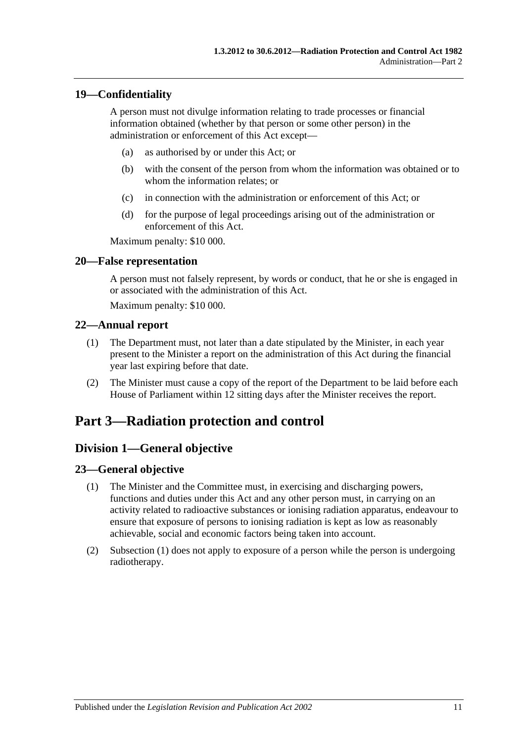### <span id="page-10-0"></span>**19—Confidentiality**

A person must not divulge information relating to trade processes or financial information obtained (whether by that person or some other person) in the administration or enforcement of this Act except—

- (a) as authorised by or under this Act; or
- (b) with the consent of the person from whom the information was obtained or to whom the information relates; or
- (c) in connection with the administration or enforcement of this Act; or
- (d) for the purpose of legal proceedings arising out of the administration or enforcement of this Act.

Maximum penalty: \$10 000.

### <span id="page-10-1"></span>**20—False representation**

A person must not falsely represent, by words or conduct, that he or she is engaged in or associated with the administration of this Act.

Maximum penalty: \$10 000.

### <span id="page-10-2"></span>**22—Annual report**

- (1) The Department must, not later than a date stipulated by the Minister, in each year present to the Minister a report on the administration of this Act during the financial year last expiring before that date.
- (2) The Minister must cause a copy of the report of the Department to be laid before each House of Parliament within 12 sitting days after the Minister receives the report.

# <span id="page-10-4"></span><span id="page-10-3"></span>**Part 3—Radiation protection and control**

### **Division 1—General objective**

### <span id="page-10-6"></span><span id="page-10-5"></span>**23—General objective**

- (1) The Minister and the Committee must, in exercising and discharging powers, functions and duties under this Act and any other person must, in carrying on an activity related to radioactive substances or ionising radiation apparatus, endeavour to ensure that exposure of persons to ionising radiation is kept as low as reasonably achievable, social and economic factors being taken into account.
- (2) [Subsection](#page-10-6) (1) does not apply to exposure of a person while the person is undergoing radiotherapy.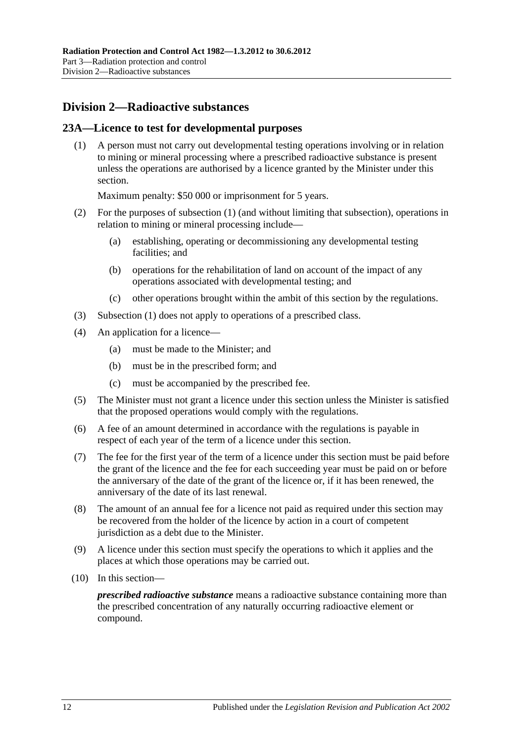### <span id="page-11-0"></span>**Division 2—Radioactive substances**

### <span id="page-11-2"></span><span id="page-11-1"></span>**23A—Licence to test for developmental purposes**

(1) A person must not carry out developmental testing operations involving or in relation to mining or mineral processing where a prescribed radioactive substance is present unless the operations are authorised by a licence granted by the Minister under this section.

Maximum penalty: \$50 000 or imprisonment for 5 years.

- (2) For the purposes of [subsection](#page-11-2) (1) (and without limiting that subsection), operations in relation to mining or mineral processing include—
	- (a) establishing, operating or decommissioning any developmental testing facilities; and
	- (b) operations for the rehabilitation of land on account of the impact of any operations associated with developmental testing; and
	- (c) other operations brought within the ambit of this section by the regulations.
- (3) [Subsection](#page-11-2) (1) does not apply to operations of a prescribed class.
- (4) An application for a licence—
	- (a) must be made to the Minister; and
	- (b) must be in the prescribed form; and
	- (c) must be accompanied by the prescribed fee.
- (5) The Minister must not grant a licence under this section unless the Minister is satisfied that the proposed operations would comply with the regulations.
- (6) A fee of an amount determined in accordance with the regulations is payable in respect of each year of the term of a licence under this section.
- (7) The fee for the first year of the term of a licence under this section must be paid before the grant of the licence and the fee for each succeeding year must be paid on or before the anniversary of the date of the grant of the licence or, if it has been renewed, the anniversary of the date of its last renewal.
- (8) The amount of an annual fee for a licence not paid as required under this section may be recovered from the holder of the licence by action in a court of competent jurisdiction as a debt due to the Minister.
- (9) A licence under this section must specify the operations to which it applies and the places at which those operations may be carried out.
- (10) In this section—

*prescribed radioactive substance* means a radioactive substance containing more than the prescribed concentration of any naturally occurring radioactive element or compound.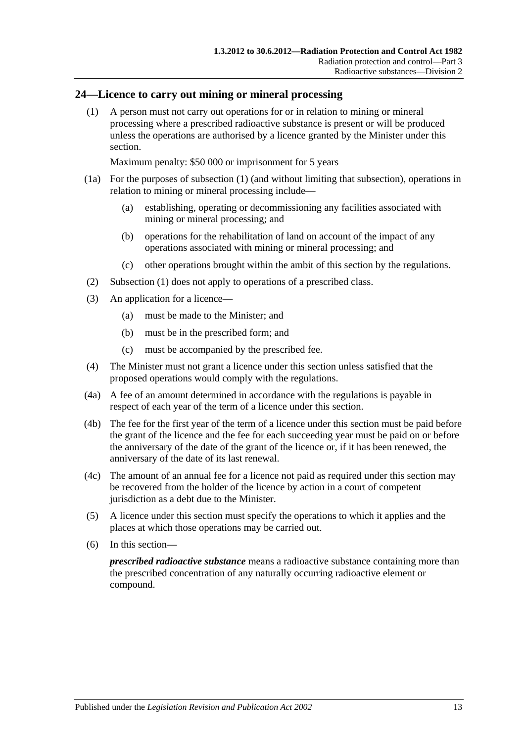### <span id="page-12-1"></span><span id="page-12-0"></span>**24—Licence to carry out mining or mineral processing**

(1) A person must not carry out operations for or in relation to mining or mineral processing where a prescribed radioactive substance is present or will be produced unless the operations are authorised by a licence granted by the Minister under this section.

Maximum penalty: \$50 000 or imprisonment for 5 years

- (1a) For the purposes of [subsection](#page-12-1) (1) (and without limiting that subsection), operations in relation to mining or mineral processing include—
	- (a) establishing, operating or decommissioning any facilities associated with mining or mineral processing; and
	- (b) operations for the rehabilitation of land on account of the impact of any operations associated with mining or mineral processing; and
	- (c) other operations brought within the ambit of this section by the regulations.
- (2) [Subsection](#page-12-1) (1) does not apply to operations of a prescribed class.
- (3) An application for a licence—
	- (a) must be made to the Minister; and
	- (b) must be in the prescribed form; and
	- (c) must be accompanied by the prescribed fee.
- <span id="page-12-2"></span>(4) The Minister must not grant a licence under this section unless satisfied that the proposed operations would comply with the regulations.
- (4a) A fee of an amount determined in accordance with the regulations is payable in respect of each year of the term of a licence under this section.
- (4b) The fee for the first year of the term of a licence under this section must be paid before the grant of the licence and the fee for each succeeding year must be paid on or before the anniversary of the date of the grant of the licence or, if it has been renewed, the anniversary of the date of its last renewal.
- (4c) The amount of an annual fee for a licence not paid as required under this section may be recovered from the holder of the licence by action in a court of competent jurisdiction as a debt due to the Minister.
- (5) A licence under this section must specify the operations to which it applies and the places at which those operations may be carried out.
- (6) In this section—

*prescribed radioactive substance* means a radioactive substance containing more than the prescribed concentration of any naturally occurring radioactive element or compound.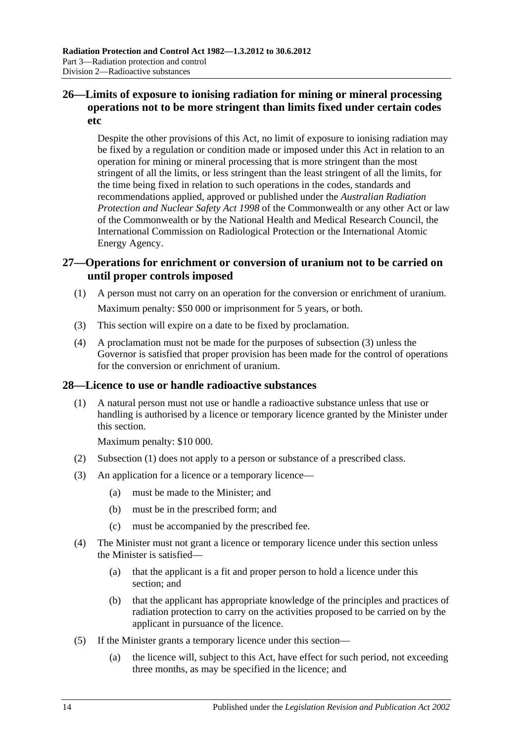### <span id="page-13-0"></span>**26—Limits of exposure to ionising radiation for mining or mineral processing operations not to be more stringent than limits fixed under certain codes etc**

Despite the other provisions of this Act, no limit of exposure to ionising radiation may be fixed by a regulation or condition made or imposed under this Act in relation to an operation for mining or mineral processing that is more stringent than the most stringent of all the limits, or less stringent than the least stringent of all the limits, for the time being fixed in relation to such operations in the codes, standards and recommendations applied, approved or published under the *Australian Radiation Protection and Nuclear Safety Act 1998* of the Commonwealth or any other Act or law of the Commonwealth or by the National Health and Medical Research Council, the International Commission on Radiological Protection or the International Atomic Energy Agency.

### <span id="page-13-1"></span>**27—Operations for enrichment or conversion of uranium not to be carried on until proper controls imposed**

- (1) A person must not carry on an operation for the conversion or enrichment of uranium. Maximum penalty: \$50 000 or imprisonment for 5 years, or both.
- <span id="page-13-3"></span>(3) This section will expire on a date to be fixed by proclamation.
- (4) A proclamation must not be made for the purposes of [subsection](#page-13-3) (3) unless the Governor is satisfied that proper provision has been made for the control of operations for the conversion or enrichment of uranium.

### <span id="page-13-4"></span><span id="page-13-2"></span>**28—Licence to use or handle radioactive substances**

(1) A natural person must not use or handle a radioactive substance unless that use or handling is authorised by a licence or temporary licence granted by the Minister under this section.

Maximum penalty: \$10 000.

- (2) [Subsection](#page-13-4) (1) does not apply to a person or substance of a prescribed class.
- (3) An application for a licence or a temporary licence—
	- (a) must be made to the Minister; and
	- (b) must be in the prescribed form; and
	- (c) must be accompanied by the prescribed fee.
- (4) The Minister must not grant a licence or temporary licence under this section unless the Minister is satisfied—
	- (a) that the applicant is a fit and proper person to hold a licence under this section; and
	- (b) that the applicant has appropriate knowledge of the principles and practices of radiation protection to carry on the activities proposed to be carried on by the applicant in pursuance of the licence.
- (5) If the Minister grants a temporary licence under this section—
	- (a) the licence will, subject to this Act, have effect for such period, not exceeding three months, as may be specified in the licence; and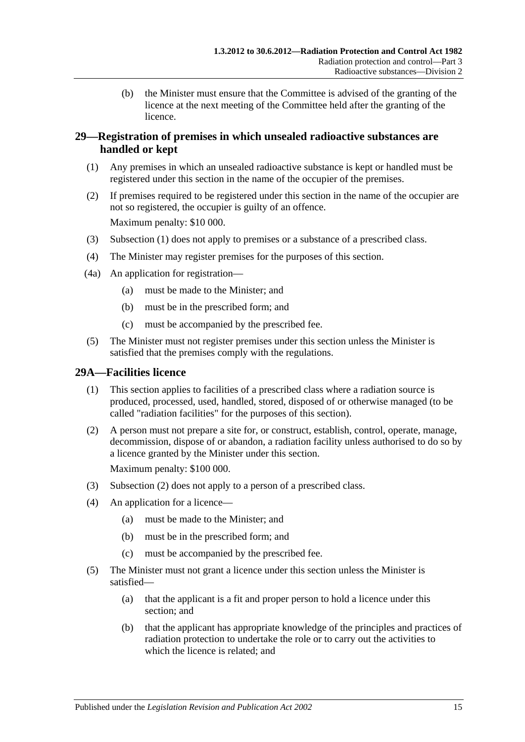(b) the Minister must ensure that the Committee is advised of the granting of the licence at the next meeting of the Committee held after the granting of the licence.

### <span id="page-14-0"></span>**29—Registration of premises in which unsealed radioactive substances are handled or kept**

- <span id="page-14-2"></span>(1) Any premises in which an unsealed radioactive substance is kept or handled must be registered under this section in the name of the occupier of the premises.
- (2) If premises required to be registered under this section in the name of the occupier are not so registered, the occupier is guilty of an offence. Maximum penalty: \$10 000.
- (3) [Subsection](#page-14-2) (1) does not apply to premises or a substance of a prescribed class.
- (4) The Minister may register premises for the purposes of this section.
- (4a) An application for registration—
	- (a) must be made to the Minister; and
	- (b) must be in the prescribed form; and
	- (c) must be accompanied by the prescribed fee.
- (5) The Minister must not register premises under this section unless the Minister is satisfied that the premises comply with the regulations.

### <span id="page-14-1"></span>**29A—Facilities licence**

- (1) This section applies to facilities of a prescribed class where a radiation source is produced, processed, used, handled, stored, disposed of or otherwise managed (to be called "radiation facilities" for the purposes of this section).
- <span id="page-14-3"></span>(2) A person must not prepare a site for, or construct, establish, control, operate, manage, decommission, dispose of or abandon, a radiation facility unless authorised to do so by a licence granted by the Minister under this section.

Maximum penalty: \$100 000.

- (3) [Subsection](#page-14-3) (2) does not apply to a person of a prescribed class.
- (4) An application for a licence—
	- (a) must be made to the Minister; and
	- (b) must be in the prescribed form; and
	- (c) must be accompanied by the prescribed fee.
- (5) The Minister must not grant a licence under this section unless the Minister is satisfied—
	- (a) that the applicant is a fit and proper person to hold a licence under this section; and
	- (b) that the applicant has appropriate knowledge of the principles and practices of radiation protection to undertake the role or to carry out the activities to which the licence is related; and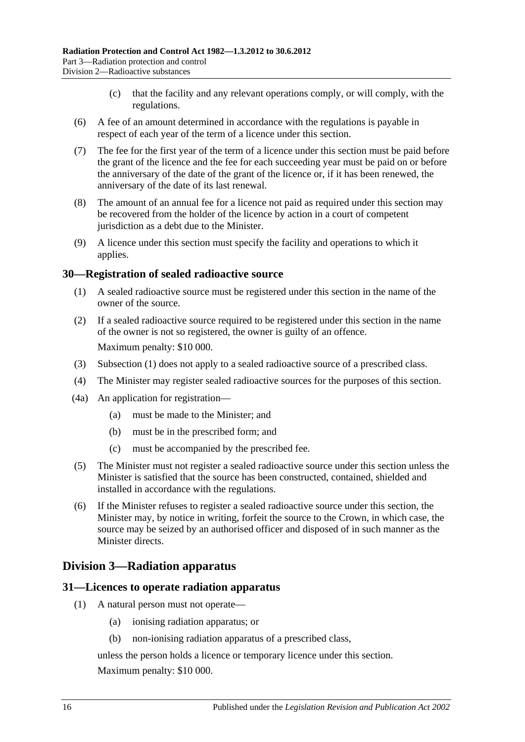- (c) that the facility and any relevant operations comply, or will comply, with the regulations.
- (6) A fee of an amount determined in accordance with the regulations is payable in respect of each year of the term of a licence under this section.
- (7) The fee for the first year of the term of a licence under this section must be paid before the grant of the licence and the fee for each succeeding year must be paid on or before the anniversary of the date of the grant of the licence or, if it has been renewed, the anniversary of the date of its last renewal.
- (8) The amount of an annual fee for a licence not paid as required under this section may be recovered from the holder of the licence by action in a court of competent jurisdiction as a debt due to the Minister.
- (9) A licence under this section must specify the facility and operations to which it applies.

### <span id="page-15-3"></span><span id="page-15-0"></span>**30—Registration of sealed radioactive source**

- (1) A sealed radioactive source must be registered under this section in the name of the owner of the source.
- (2) If a sealed radioactive source required to be registered under this section in the name of the owner is not so registered, the owner is guilty of an offence. Maximum penalty: \$10 000.
- (3) [Subsection](#page-15-3) (1) does not apply to a sealed radioactive source of a prescribed class.
- (4) The Minister may register sealed radioactive sources for the purposes of this section.
- (4a) An application for registration—
	- (a) must be made to the Minister; and
	- (b) must be in the prescribed form; and
	- (c) must be accompanied by the prescribed fee.
- (5) The Minister must not register a sealed radioactive source under this section unless the Minister is satisfied that the source has been constructed, contained, shielded and installed in accordance with the regulations.
- (6) If the Minister refuses to register a sealed radioactive source under this section, the Minister may, by notice in writing, forfeit the source to the Crown, in which case, the source may be seized by an authorised officer and disposed of in such manner as the Minister directs.

### <span id="page-15-1"></span>**Division 3—Radiation apparatus**

### <span id="page-15-2"></span>**31—Licences to operate radiation apparatus**

- <span id="page-15-4"></span>(1) A natural person must not operate—
	- (a) ionising radiation apparatus; or
	- (b) non-ionising radiation apparatus of a prescribed class,

unless the person holds a licence or temporary licence under this section. Maximum penalty: \$10 000.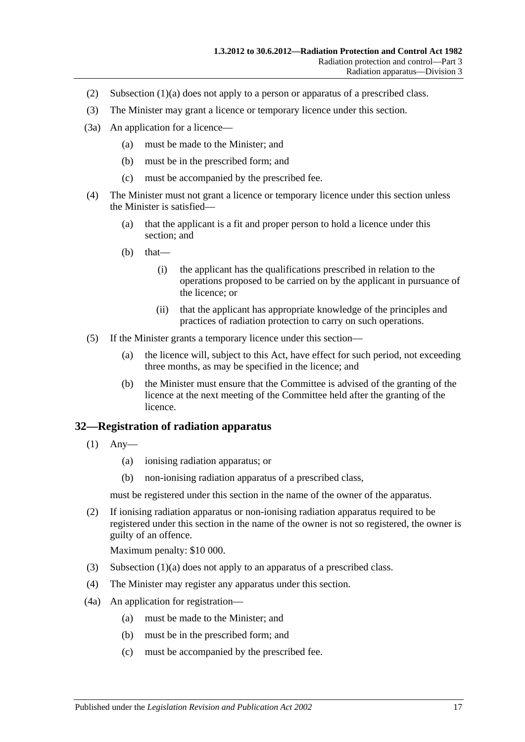- (2) [Subsection](#page-15-4) (1)(a) does not apply to a person or apparatus of a prescribed class.
- (3) The Minister may grant a licence or temporary licence under this section.
- (3a) An application for a licence—
	- (a) must be made to the Minister; and
	- (b) must be in the prescribed form; and
	- (c) must be accompanied by the prescribed fee.
- (4) The Minister must not grant a licence or temporary licence under this section unless the Minister is satisfied—
	- (a) that the applicant is a fit and proper person to hold a licence under this section; and
	- $(b)$  that—
		- (i) the applicant has the qualifications prescribed in relation to the operations proposed to be carried on by the applicant in pursuance of the licence; or
		- (ii) that the applicant has appropriate knowledge of the principles and practices of radiation protection to carry on such operations.
- (5) If the Minister grants a temporary licence under this section—
	- (a) the licence will, subject to this Act, have effect for such period, not exceeding three months, as may be specified in the licence; and
	- (b) the Minister must ensure that the Committee is advised of the granting of the licence at the next meeting of the Committee held after the granting of the licence.

### <span id="page-16-0"></span>**32—Registration of radiation apparatus**

- <span id="page-16-1"></span>(1) Any—
	- (a) ionising radiation apparatus; or
	- (b) non-ionising radiation apparatus of a prescribed class,

must be registered under this section in the name of the owner of the apparatus.

(2) If ionising radiation apparatus or non-ionising radiation apparatus required to be registered under this section in the name of the owner is not so registered, the owner is guilty of an offence.

Maximum penalty: \$10 000.

- (3) [Subsection](#page-16-1) (1)(a) does not apply to an apparatus of a prescribed class.
- (4) The Minister may register any apparatus under this section.
- (4a) An application for registration—
	- (a) must be made to the Minister; and
	- (b) must be in the prescribed form; and
	- (c) must be accompanied by the prescribed fee.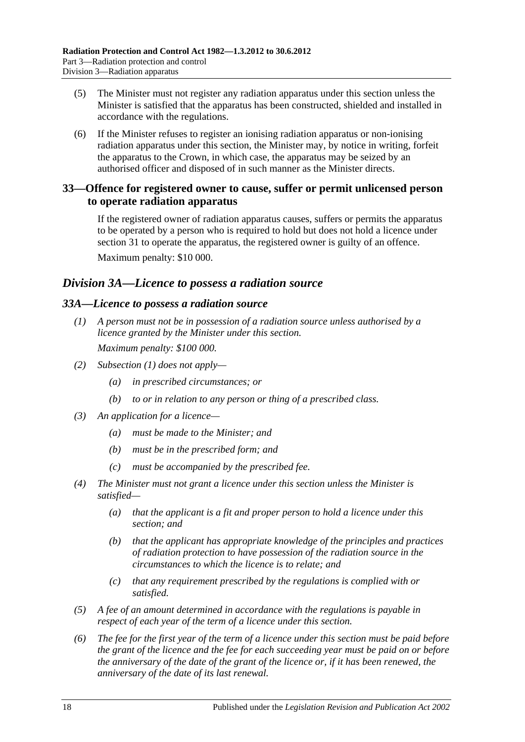- (5) The Minister must not register any radiation apparatus under this section unless the Minister is satisfied that the apparatus has been constructed, shielded and installed in accordance with the regulations.
- (6) If the Minister refuses to register an ionising radiation apparatus or non-ionising radiation apparatus under this section, the Minister may, by notice in writing, forfeit the apparatus to the Crown, in which case, the apparatus may be seized by an authorised officer and disposed of in such manner as the Minister directs.

### <span id="page-17-0"></span>**33—Offence for registered owner to cause, suffer or permit unlicensed person to operate radiation apparatus**

If the registered owner of radiation apparatus causes, suffers or permits the apparatus to be operated by a person who is required to hold but does not hold a licence under [section](#page-15-2) 31 to operate the apparatus, the registered owner is guilty of an offence. Maximum penalty: \$10 000.

### <span id="page-17-1"></span>*Division 3A—Licence to possess a radiation source*

### <span id="page-17-3"></span><span id="page-17-2"></span>*33A—Licence to possess a radiation source*

- *(1) A person must not be in possession of a radiation source unless authorised by a licence granted by the Minister under this section. Maximum penalty: \$100 000.*
- *(2) [Subsection](#page-17-3) (1) does not apply—*
	- *(a) in prescribed circumstances; or*
	- *(b) to or in relation to any person or thing of a prescribed class.*
- *(3) An application for a licence—*
	- *(a) must be made to the Minister; and*
	- *(b) must be in the prescribed form; and*
	- *(c) must be accompanied by the prescribed fee.*
- *(4) The Minister must not grant a licence under this section unless the Minister is satisfied—*
	- *(a) that the applicant is a fit and proper person to hold a licence under this section; and*
	- *(b) that the applicant has appropriate knowledge of the principles and practices of radiation protection to have possession of the radiation source in the circumstances to which the licence is to relate; and*
	- *(c) that any requirement prescribed by the regulations is complied with or satisfied.*
- *(5) A fee of an amount determined in accordance with the regulations is payable in respect of each year of the term of a licence under this section.*
- *(6) The fee for the first year of the term of a licence under this section must be paid before the grant of the licence and the fee for each succeeding year must be paid on or before the anniversary of the date of the grant of the licence or, if it has been renewed, the anniversary of the date of its last renewal.*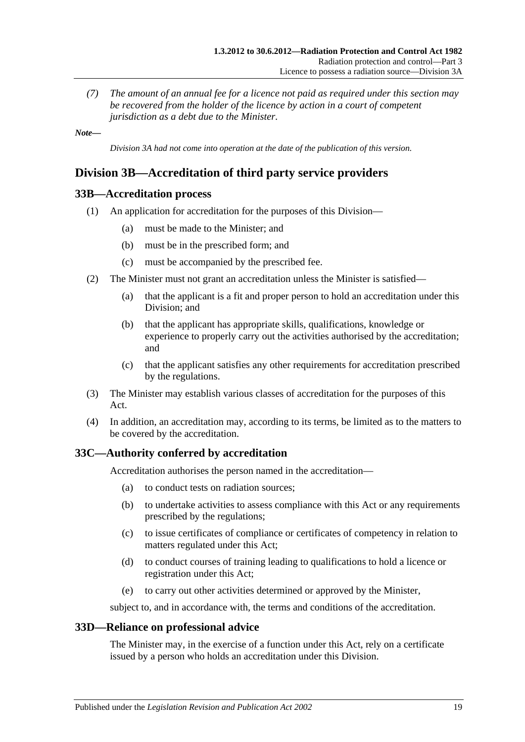*(7) The amount of an annual fee for a licence not paid as required under this section may be recovered from the holder of the licence by action in a court of competent jurisdiction as a debt due to the Minister.*

*Note—*

*Division 3A had not come into operation at the date of the publication of this version.*

### <span id="page-18-0"></span>**Division 3B—Accreditation of third party service providers**

### <span id="page-18-1"></span>**33B—Accreditation process**

- (1) An application for accreditation for the purposes of this Division—
	- (a) must be made to the Minister; and
	- (b) must be in the prescribed form; and
	- (c) must be accompanied by the prescribed fee.
- (2) The Minister must not grant an accreditation unless the Minister is satisfied—
	- (a) that the applicant is a fit and proper person to hold an accreditation under this Division; and
	- (b) that the applicant has appropriate skills, qualifications, knowledge or experience to properly carry out the activities authorised by the accreditation; and
	- (c) that the applicant satisfies any other requirements for accreditation prescribed by the regulations.
- (3) The Minister may establish various classes of accreditation for the purposes of this Act.
- (4) In addition, an accreditation may, according to its terms, be limited as to the matters to be covered by the accreditation.

### <span id="page-18-2"></span>**33C—Authority conferred by accreditation**

Accreditation authorises the person named in the accreditation—

- (a) to conduct tests on radiation sources;
- (b) to undertake activities to assess compliance with this Act or any requirements prescribed by the regulations;
- (c) to issue certificates of compliance or certificates of competency in relation to matters regulated under this Act;
- (d) to conduct courses of training leading to qualifications to hold a licence or registration under this Act;
- (e) to carry out other activities determined or approved by the Minister,

subject to, and in accordance with, the terms and conditions of the accreditation.

### <span id="page-18-3"></span>**33D—Reliance on professional advice**

The Minister may, in the exercise of a function under this Act, rely on a certificate issued by a person who holds an accreditation under this Division.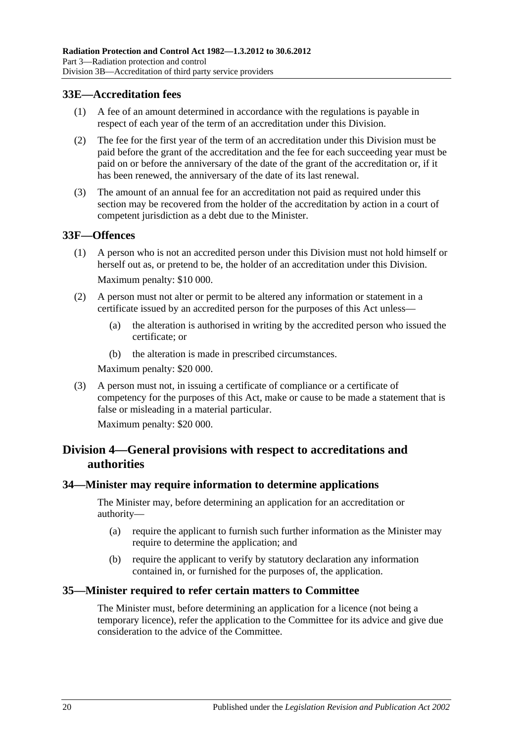### <span id="page-19-0"></span>**33E—Accreditation fees**

- (1) A fee of an amount determined in accordance with the regulations is payable in respect of each year of the term of an accreditation under this Division.
- (2) The fee for the first year of the term of an accreditation under this Division must be paid before the grant of the accreditation and the fee for each succeeding year must be paid on or before the anniversary of the date of the grant of the accreditation or, if it has been renewed, the anniversary of the date of its last renewal.
- (3) The amount of an annual fee for an accreditation not paid as required under this section may be recovered from the holder of the accreditation by action in a court of competent jurisdiction as a debt due to the Minister.

### <span id="page-19-1"></span>**33F—Offences**

- (1) A person who is not an accredited person under this Division must not hold himself or herself out as, or pretend to be, the holder of an accreditation under this Division. Maximum penalty: \$10 000.
- (2) A person must not alter or permit to be altered any information or statement in a certificate issued by an accredited person for the purposes of this Act unless—
	- (a) the alteration is authorised in writing by the accredited person who issued the certificate; or
	- (b) the alteration is made in prescribed circumstances.

Maximum penalty: \$20 000.

(3) A person must not, in issuing a certificate of compliance or a certificate of competency for the purposes of this Act, make or cause to be made a statement that is false or misleading in a material particular.

Maximum penalty: \$20 000.

### <span id="page-19-2"></span>**Division 4—General provisions with respect to accreditations and authorities**

### <span id="page-19-3"></span>**34—Minister may require information to determine applications**

The Minister may, before determining an application for an accreditation or authority—

- (a) require the applicant to furnish such further information as the Minister may require to determine the application; and
- (b) require the applicant to verify by statutory declaration any information contained in, or furnished for the purposes of, the application.

### <span id="page-19-4"></span>**35—Minister required to refer certain matters to Committee**

The Minister must, before determining an application for a licence (not being a temporary licence), refer the application to the Committee for its advice and give due consideration to the advice of the Committee.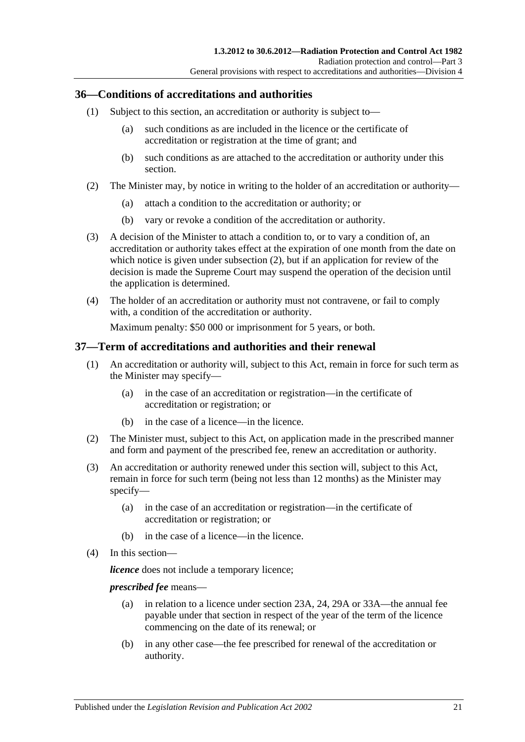### <span id="page-20-0"></span>**36—Conditions of accreditations and authorities**

- (1) Subject to this section, an accreditation or authority is subject to—
	- (a) such conditions as are included in the licence or the certificate of accreditation or registration at the time of grant; and
	- (b) such conditions as are attached to the accreditation or authority under this section.
- <span id="page-20-3"></span><span id="page-20-2"></span>(2) The Minister may, by notice in writing to the holder of an accreditation or authority—
	- (a) attach a condition to the accreditation or authority; or
	- (b) vary or revoke a condition of the accreditation or authority.
- <span id="page-20-4"></span>(3) A decision of the Minister to attach a condition to, or to vary a condition of, an accreditation or authority takes effect at the expiration of one month from the date on which notice is given under [subsection](#page-20-2) (2), but if an application for review of the decision is made the Supreme Court may suspend the operation of the decision until the application is determined.
- (4) The holder of an accreditation or authority must not contravene, or fail to comply with, a condition of the accreditation or authority.

Maximum penalty: \$50 000 or imprisonment for 5 years, or both.

### <span id="page-20-1"></span>**37—Term of accreditations and authorities and their renewal**

- (1) An accreditation or authority will, subject to this Act, remain in force for such term as the Minister may specify—
	- (a) in the case of an accreditation or registration—in the certificate of accreditation or registration; or
	- (b) in the case of a licence—in the licence.
- (2) The Minister must, subject to this Act, on application made in the prescribed manner and form and payment of the prescribed fee, renew an accreditation or authority.
- (3) An accreditation or authority renewed under this section will, subject to this Act, remain in force for such term (being not less than 12 months) as the Minister may specify—
	- (a) in the case of an accreditation or registration—in the certificate of accreditation or registration; or
	- (b) in the case of a licence—in the licence.
- (4) In this section—

*licence* does not include a temporary licence;

*prescribed fee* means—

- (a) in relation to a licence under [section](#page-11-1) 23A, [24,](#page-12-0) [29A](#page-14-1) or [33A—](#page-17-2)the annual fee payable under that section in respect of the year of the term of the licence commencing on the date of its renewal; or
- (b) in any other case—the fee prescribed for renewal of the accreditation or authority.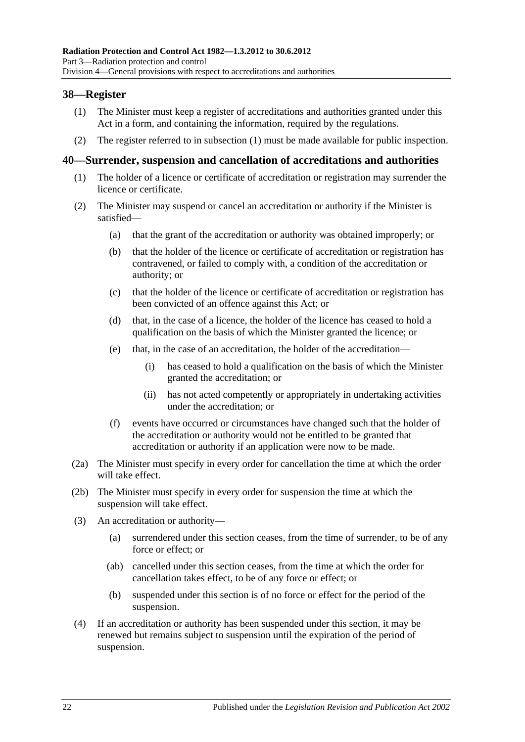### <span id="page-21-2"></span><span id="page-21-0"></span>**38—Register**

- (1) The Minister must keep a register of accreditations and authorities granted under this Act in a form, and containing the information, required by the regulations.
- (2) The register referred to in [subsection](#page-21-2) (1) must be made available for public inspection.

### <span id="page-21-1"></span>**40—Surrender, suspension and cancellation of accreditations and authorities**

- (1) The holder of a licence or certificate of accreditation or registration may surrender the licence or certificate.
- (2) The Minister may suspend or cancel an accreditation or authority if the Minister is satisfied—
	- (a) that the grant of the accreditation or authority was obtained improperly; or
	- (b) that the holder of the licence or certificate of accreditation or registration has contravened, or failed to comply with, a condition of the accreditation or authority; or
	- (c) that the holder of the licence or certificate of accreditation or registration has been convicted of an offence against this Act; or
	- (d) that, in the case of a licence, the holder of the licence has ceased to hold a qualification on the basis of which the Minister granted the licence; or
	- (e) that, in the case of an accreditation, the holder of the accreditation—
		- (i) has ceased to hold a qualification on the basis of which the Minister granted the accreditation; or
		- (ii) has not acted competently or appropriately in undertaking activities under the accreditation; or
	- (f) events have occurred or circumstances have changed such that the holder of the accreditation or authority would not be entitled to be granted that accreditation or authority if an application were now to be made.
- (2a) The Minister must specify in every order for cancellation the time at which the order will take effect.
- (2b) The Minister must specify in every order for suspension the time at which the suspension will take effect.
- (3) An accreditation or authority—
	- (a) surrendered under this section ceases, from the time of surrender, to be of any force or effect; or
	- (ab) cancelled under this section ceases, from the time at which the order for cancellation takes effect, to be of any force or effect; or
	- (b) suspended under this section is of no force or effect for the period of the suspension.
- (4) If an accreditation or authority has been suspended under this section, it may be renewed but remains subject to suspension until the expiration of the period of suspension.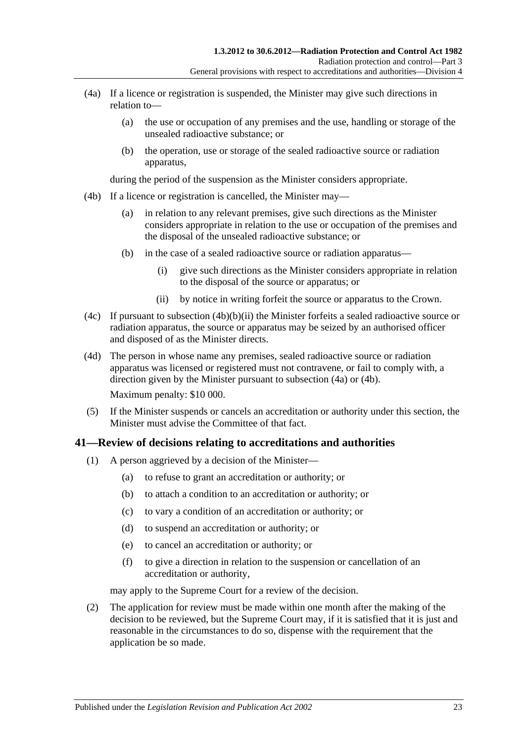- <span id="page-22-2"></span>(4a) If a licence or registration is suspended, the Minister may give such directions in relation to—
	- (a) the use or occupation of any premises and the use, handling or storage of the unsealed radioactive substance; or
	- (b) the operation, use or storage of the sealed radioactive source or radiation apparatus,

during the period of the suspension as the Minister considers appropriate.

- <span id="page-22-3"></span>(4b) If a licence or registration is cancelled, the Minister may—
	- (a) in relation to any relevant premises, give such directions as the Minister considers appropriate in relation to the use or occupation of the premises and the disposal of the unsealed radioactive substance; or
	- (b) in the case of a sealed radioactive source or radiation apparatus—
		- (i) give such directions as the Minister considers appropriate in relation to the disposal of the source or apparatus; or
		- (ii) by notice in writing forfeit the source or apparatus to the Crown.
- <span id="page-22-1"></span>(4c) If pursuant to [subsection](#page-22-1)  $(4b)(b)(ii)$  the Minister forfeits a sealed radioactive source or radiation apparatus, the source or apparatus may be seized by an authorised officer and disposed of as the Minister directs.
- (4d) The person in whose name any premises, sealed radioactive source or radiation apparatus was licensed or registered must not contravene, or fail to comply with, a direction given by the Minister pursuant to [subsection](#page-22-2) (4a) or [\(4b\).](#page-22-3)

Maximum penalty: \$10 000.

(5) If the Minister suspends or cancels an accreditation or authority under this section, the Minister must advise the Committee of that fact.

### <span id="page-22-4"></span><span id="page-22-0"></span>**41—Review of decisions relating to accreditations and authorities**

- (1) A person aggrieved by a decision of the Minister—
	- (a) to refuse to grant an accreditation or authority; or
	- (b) to attach a condition to an accreditation or authority; or
	- (c) to vary a condition of an accreditation or authority; or
	- (d) to suspend an accreditation or authority; or
	- (e) to cancel an accreditation or authority; or
	- (f) to give a direction in relation to the suspension or cancellation of an accreditation or authority,

may apply to the Supreme Court for a review of the decision.

(2) The application for review must be made within one month after the making of the decision to be reviewed, but the Supreme Court may, if it is satisfied that it is just and reasonable in the circumstances to do so, dispense with the requirement that the application be so made.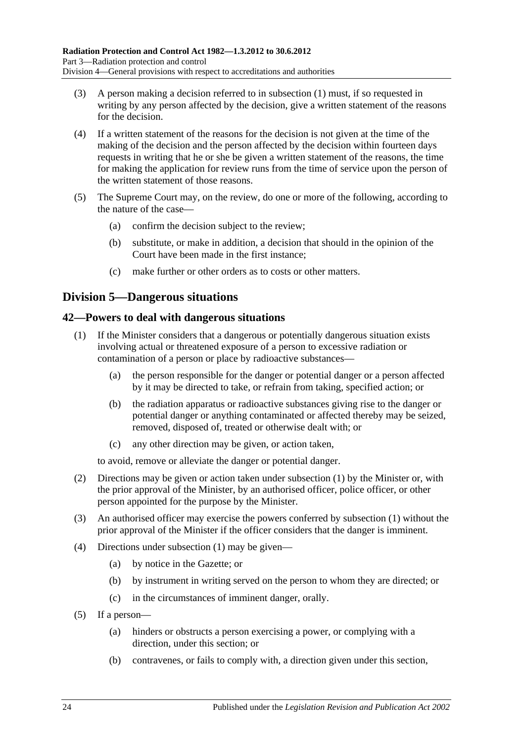- (3) A person making a decision referred to in [subsection](#page-22-4) (1) must, if so requested in writing by any person affected by the decision, give a written statement of the reasons for the decision.
- (4) If a written statement of the reasons for the decision is not given at the time of the making of the decision and the person affected by the decision within fourteen days requests in writing that he or she be given a written statement of the reasons, the time for making the application for review runs from the time of service upon the person of the written statement of those reasons.
- (5) The Supreme Court may, on the review, do one or more of the following, according to the nature of the case—
	- (a) confirm the decision subject to the review;
	- (b) substitute, or make in addition, a decision that should in the opinion of the Court have been made in the first instance;
	- (c) make further or other orders as to costs or other matters.

### <span id="page-23-0"></span>**Division 5—Dangerous situations**

### <span id="page-23-2"></span><span id="page-23-1"></span>**42—Powers to deal with dangerous situations**

- (1) If the Minister considers that a dangerous or potentially dangerous situation exists involving actual or threatened exposure of a person to excessive radiation or contamination of a person or place by radioactive substances—
	- (a) the person responsible for the danger or potential danger or a person affected by it may be directed to take, or refrain from taking, specified action; or
	- (b) the radiation apparatus or radioactive substances giving rise to the danger or potential danger or anything contaminated or affected thereby may be seized, removed, disposed of, treated or otherwise dealt with; or
	- (c) any other direction may be given, or action taken,

to avoid, remove or alleviate the danger or potential danger.

- (2) Directions may be given or action taken under [subsection](#page-23-2) (1) by the Minister or, with the prior approval of the Minister, by an authorised officer, police officer, or other person appointed for the purpose by the Minister.
- (3) An authorised officer may exercise the powers conferred by [subsection](#page-23-2) (1) without the prior approval of the Minister if the officer considers that the danger is imminent.
- (4) Directions under [subsection](#page-23-2) (1) may be given—
	- (a) by notice in the Gazette; or
	- (b) by instrument in writing served on the person to whom they are directed; or
	- (c) in the circumstances of imminent danger, orally.
- (5) If a person—
	- (a) hinders or obstructs a person exercising a power, or complying with a direction, under this section; or
	- (b) contravenes, or fails to comply with, a direction given under this section,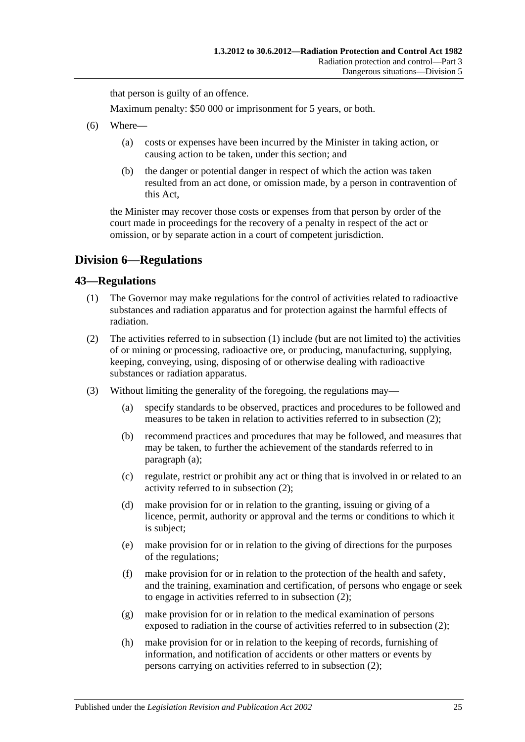that person is guilty of an offence.

Maximum penalty: \$50 000 or imprisonment for 5 years, or both.

- (6) Where—
	- (a) costs or expenses have been incurred by the Minister in taking action, or causing action to be taken, under this section; and
	- (b) the danger or potential danger in respect of which the action was taken resulted from an act done, or omission made, by a person in contravention of this Act,

the Minister may recover those costs or expenses from that person by order of the court made in proceedings for the recovery of a penalty in respect of the act or omission, or by separate action in a court of competent jurisdiction.

### <span id="page-24-0"></span>**Division 6—Regulations**

### <span id="page-24-2"></span><span id="page-24-1"></span>**43—Regulations**

- (1) The Governor may make regulations for the control of activities related to radioactive substances and radiation apparatus and for protection against the harmful effects of radiation.
- <span id="page-24-3"></span>(2) The activities referred to in [subsection](#page-24-2) (1) include (but are not limited to) the activities of or mining or processing, radioactive ore, or producing, manufacturing, supplying, keeping, conveying, using, disposing of or otherwise dealing with radioactive substances or radiation apparatus.
- <span id="page-24-4"></span>(3) Without limiting the generality of the foregoing, the regulations may—
	- (a) specify standards to be observed, practices and procedures to be followed and measures to be taken in relation to activities referred to in [subsection](#page-24-3) (2);
	- (b) recommend practices and procedures that may be followed, and measures that may be taken, to further the achievement of the standards referred to in [paragraph](#page-24-4) (a);
	- (c) regulate, restrict or prohibit any act or thing that is involved in or related to an activity referred to in [subsection](#page-24-3) (2);
	- (d) make provision for or in relation to the granting, issuing or giving of a licence, permit, authority or approval and the terms or conditions to which it is subject;
	- (e) make provision for or in relation to the giving of directions for the purposes of the regulations;
	- (f) make provision for or in relation to the protection of the health and safety, and the training, examination and certification, of persons who engage or seek to engage in activities referred to in [subsection](#page-24-3) (2);
	- (g) make provision for or in relation to the medical examination of persons exposed to radiation in the course of activities referred to in [subsection](#page-24-3) (2);
	- (h) make provision for or in relation to the keeping of records, furnishing of information, and notification of accidents or other matters or events by persons carrying on activities referred to in [subsection](#page-24-3) (2);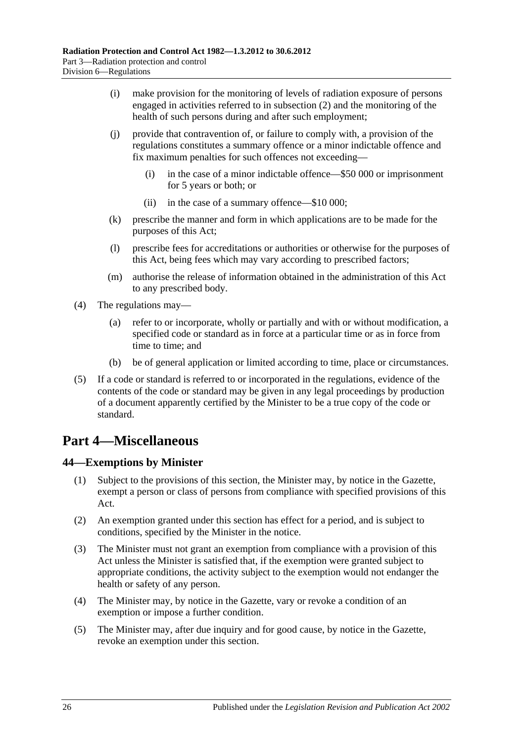- (i) make provision for the monitoring of levels of radiation exposure of persons engaged in activities referred to in [subsection](#page-24-3) (2) and the monitoring of the health of such persons during and after such employment;
- (j) provide that contravention of, or failure to comply with, a provision of the regulations constitutes a summary offence or a minor indictable offence and fix maximum penalties for such offences not exceeding—
	- (i) in the case of a minor indictable offence—\$50 000 or imprisonment for 5 years or both; or
	- (ii) in the case of a summary offence—\$10 000;
- (k) prescribe the manner and form in which applications are to be made for the purposes of this Act;
- (l) prescribe fees for accreditations or authorities or otherwise for the purposes of this Act, being fees which may vary according to prescribed factors;
- (m) authorise the release of information obtained in the administration of this Act to any prescribed body.
- (4) The regulations may—
	- (a) refer to or incorporate, wholly or partially and with or without modification, a specified code or standard as in force at a particular time or as in force from time to time; and
	- (b) be of general application or limited according to time, place or circumstances.
- (5) If a code or standard is referred to or incorporated in the regulations, evidence of the contents of the code or standard may be given in any legal proceedings by production of a document apparently certified by the Minister to be a true copy of the code or standard.

# <span id="page-25-0"></span>**Part 4—Miscellaneous**

### <span id="page-25-1"></span>**44—Exemptions by Minister**

- (1) Subject to the provisions of this section, the Minister may, by notice in the Gazette, exempt a person or class of persons from compliance with specified provisions of this Act.
- (2) An exemption granted under this section has effect for a period, and is subject to conditions, specified by the Minister in the notice.
- (3) The Minister must not grant an exemption from compliance with a provision of this Act unless the Minister is satisfied that, if the exemption were granted subject to appropriate conditions, the activity subject to the exemption would not endanger the health or safety of any person.
- (4) The Minister may, by notice in the Gazette, vary or revoke a condition of an exemption or impose a further condition.
- (5) The Minister may, after due inquiry and for good cause, by notice in the Gazette, revoke an exemption under this section.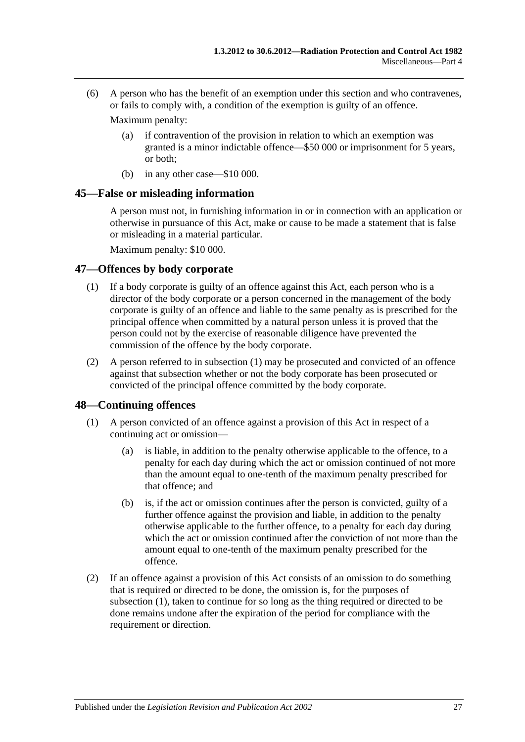(6) A person who has the benefit of an exemption under this section and who contravenes, or fails to comply with, a condition of the exemption is guilty of an offence.

Maximum penalty:

- (a) if contravention of the provision in relation to which an exemption was granted is a minor indictable offence—\$50 000 or imprisonment for 5 years, or both;
- (b) in any other case—\$10 000.

### <span id="page-26-0"></span>**45—False or misleading information**

A person must not, in furnishing information in or in connection with an application or otherwise in pursuance of this Act, make or cause to be made a statement that is false or misleading in a material particular.

Maximum penalty: \$10 000.

### <span id="page-26-3"></span><span id="page-26-1"></span>**47—Offences by body corporate**

- (1) If a body corporate is guilty of an offence against this Act, each person who is a director of the body corporate or a person concerned in the management of the body corporate is guilty of an offence and liable to the same penalty as is prescribed for the principal offence when committed by a natural person unless it is proved that the person could not by the exercise of reasonable diligence have prevented the commission of the offence by the body corporate.
- (2) A person referred to in [subsection](#page-26-3) (1) may be prosecuted and convicted of an offence against that subsection whether or not the body corporate has been prosecuted or convicted of the principal offence committed by the body corporate.

### <span id="page-26-2"></span>**48—Continuing offences**

- (1) A person convicted of an offence against a provision of this Act in respect of a continuing act or omission—
	- (a) is liable, in addition to the penalty otherwise applicable to the offence, to a penalty for each day during which the act or omission continued of not more than the amount equal to one-tenth of the maximum penalty prescribed for that offence; and
	- (b) is, if the act or omission continues after the person is convicted, guilty of a further offence against the provision and liable, in addition to the penalty otherwise applicable to the further offence, to a penalty for each day during which the act or omission continued after the conviction of not more than the amount equal to one-tenth of the maximum penalty prescribed for the offence.
- (2) If an offence against a provision of this Act consists of an omission to do something that is required or directed to be done, the omission is, for the purposes of subsection (1), taken to continue for so long as the thing required or directed to be done remains undone after the expiration of the period for compliance with the requirement or direction.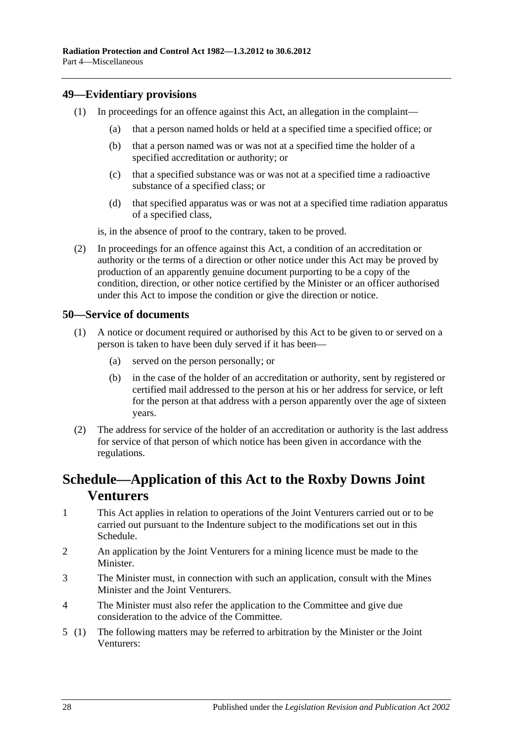### <span id="page-27-0"></span>**49—Evidentiary provisions**

- (1) In proceedings for an offence against this Act, an allegation in the complaint—
	- (a) that a person named holds or held at a specified time a specified office; or
	- (b) that a person named was or was not at a specified time the holder of a specified accreditation or authority; or
	- (c) that a specified substance was or was not at a specified time a radioactive substance of a specified class; or
	- (d) that specified apparatus was or was not at a specified time radiation apparatus of a specified class,

is, in the absence of proof to the contrary, taken to be proved.

(2) In proceedings for an offence against this Act, a condition of an accreditation or authority or the terms of a direction or other notice under this Act may be proved by production of an apparently genuine document purporting to be a copy of the condition, direction, or other notice certified by the Minister or an officer authorised under this Act to impose the condition or give the direction or notice.

### <span id="page-27-1"></span>**50—Service of documents**

- (1) A notice or document required or authorised by this Act to be given to or served on a person is taken to have been duly served if it has been—
	- (a) served on the person personally; or
	- (b) in the case of the holder of an accreditation or authority, sent by registered or certified mail addressed to the person at his or her address for service, or left for the person at that address with a person apparently over the age of sixteen years.
- (2) The address for service of the holder of an accreditation or authority is the last address for service of that person of which notice has been given in accordance with the regulations.

# <span id="page-27-2"></span>**Schedule—Application of this Act to the Roxby Downs Joint Venturers**

- 1 This Act applies in relation to operations of the Joint Venturers carried out or to be carried out pursuant to the Indenture subject to the modifications set out in this Schedule.
- 2 An application by the Joint Venturers for a mining licence must be made to the Minister.
- 3 The Minister must, in connection with such an application, consult with the Mines Minister and the Joint Venturers.
- 4 The Minister must also refer the application to the Committee and give due consideration to the advice of the Committee.
- 5 (1) The following matters may be referred to arbitration by the Minister or the Joint Venturers: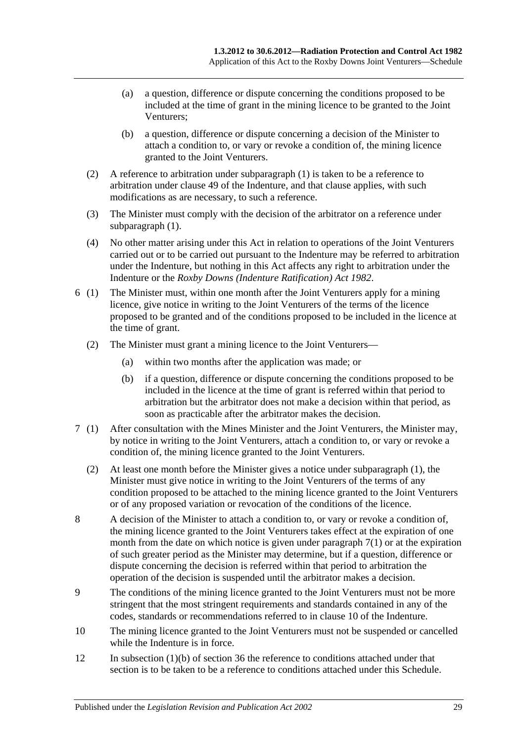- (a) a question, difference or dispute concerning the conditions proposed to be included at the time of grant in the mining licence to be granted to the Joint Venturers;
- (b) a question, difference or dispute concerning a decision of the Minister to attach a condition to, or vary or revoke a condition of, the mining licence granted to the Joint Venturers.
- (2) A reference to arbitration under subparagraph (1) is taken to be a reference to arbitration under clause 49 of the Indenture, and that clause applies, with such modifications as are necessary, to such a reference.
- (3) The Minister must comply with the decision of the arbitrator on a reference under subparagraph  $(1)$ .
- (4) No other matter arising under this Act in relation to operations of the Joint Venturers carried out or to be carried out pursuant to the Indenture may be referred to arbitration under the Indenture, but nothing in this Act affects any right to arbitration under the Indenture or the *[Roxby Downs \(Indenture Ratification\) Act](http://www.legislation.sa.gov.au/index.aspx?action=legref&type=act&legtitle=Roxby%20Downs%20(Indenture%20Ratification)%20Act%201982) 1982*.
- 6 (1) The Minister must, within one month after the Joint Venturers apply for a mining licence, give notice in writing to the Joint Venturers of the terms of the licence proposed to be granted and of the conditions proposed to be included in the licence at the time of grant.
	- (2) The Minister must grant a mining licence to the Joint Venturers—
		- (a) within two months after the application was made; or
		- (b) if a question, difference or dispute concerning the conditions proposed to be included in the licence at the time of grant is referred within that period to arbitration but the arbitrator does not make a decision within that period, as soon as practicable after the arbitrator makes the decision.
- 7 (1) After consultation with the Mines Minister and the Joint Venturers, the Minister may, by notice in writing to the Joint Venturers, attach a condition to, or vary or revoke a condition of, the mining licence granted to the Joint Venturers.
	- (2) At least one month before the Minister gives a notice under subparagraph (1), the Minister must give notice in writing to the Joint Venturers of the terms of any condition proposed to be attached to the mining licence granted to the Joint Venturers or of any proposed variation or revocation of the conditions of the licence.
- 8 A decision of the Minister to attach a condition to, or vary or revoke a condition of, the mining licence granted to the Joint Venturers takes effect at the expiration of one month from the date on which notice is given under paragraph 7(1) or at the expiration of such greater period as the Minister may determine, but if a question, difference or dispute concerning the decision is referred within that period to arbitration the operation of the decision is suspended until the arbitrator makes a decision.
- 9 The conditions of the mining licence granted to the Joint Venturers must not be more stringent that the most stringent requirements and standards contained in any of the codes, standards or recommendations referred to in clause 10 of the Indenture.
- 10 The mining licence granted to the Joint Venturers must not be suspended or cancelled while the Indenture is in force.
- 12 In [subsection](#page-20-3) (1)(b) of [section](#page-20-0) 36 the reference to conditions attached under that section is to be taken to be a reference to conditions attached under this Schedule.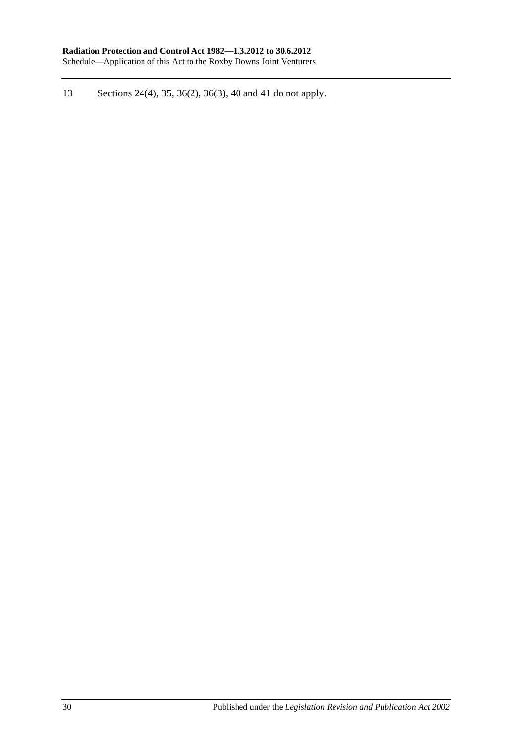13 [Sections](#page-12-2) 24(4), [35,](#page-19-4) [36\(2\),](#page-20-2) [36\(3\),](#page-20-4) [40](#page-21-1) and [41](#page-22-0) do not apply.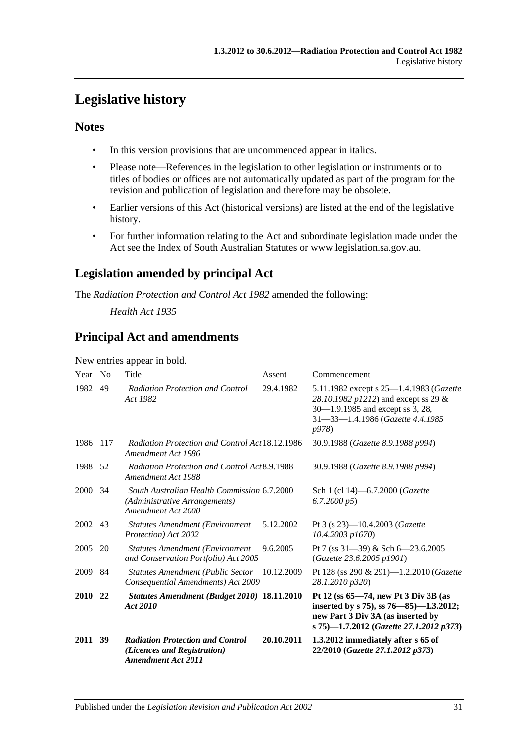# <span id="page-30-0"></span>**Legislative history**

### **Notes**

- In this version provisions that are uncommenced appear in italics.
- Please note—References in the legislation to other legislation or instruments or to titles of bodies or offices are not automatically updated as part of the program for the revision and publication of legislation and therefore may be obsolete.
- Earlier versions of this Act (historical versions) are listed at the end of the legislative history.
- For further information relating to the Act and subordinate legislation made under the Act see the Index of South Australian Statutes or www.legislation.sa.gov.au.

### **Legislation amended by principal Act**

The *Radiation Protection and Control Act 1982* amended the following:

*Health Act 1935*

### **Principal Act and amendments**

New entries appear in bold.

| Year    | N <sub>0</sub> | Title                                                                                               | Assent     | Commencement                                                                                                                                                                     |
|---------|----------------|-----------------------------------------------------------------------------------------------------|------------|----------------------------------------------------------------------------------------------------------------------------------------------------------------------------------|
| 1982    | 49             | <b>Radiation Protection and Control</b><br>Act 1982                                                 | 29.4.1982  | 5.11.1982 except s 25—1.4.1983 ( <i>Gazette</i><br>28.10.1982 p1212) and except ss 29 &<br>30–1.9.1985 and except ss 3, 28,<br>31-33-1.4.1986 (Gazette 4.4.1985<br><i>p</i> 978) |
| 1986    | 117            | <b>Radiation Protection and Control Act 18.12.1986</b><br>Amendment Act 1986                        |            | 30.9.1988 (Gazette 8.9.1988 p994)                                                                                                                                                |
| 1988    | 52             | Radiation Protection and Control Act8.9.1988<br>Amendment Act 1988                                  |            | 30.9.1988 (Gazette 8.9.1988 p994)                                                                                                                                                |
| 2000    | 34             | South Australian Health Commission 6.7.2000<br>(Administrative Arrangements)<br>Amendment Act 2000  |            | Sch 1 (cl 14)-6.7.2000 (Gazette<br>6.7.2000 p5                                                                                                                                   |
| 2002    | 43             | <b>Statutes Amendment (Environment</b> )<br>Protection) Act 2002                                    | 5.12.2002  | Pt 3 (s 23)-10.4.2003 ( <i>Gazette</i><br>10.4.2003 p1670)                                                                                                                       |
| 2005    | 20             | <b>Statutes Amendment (Environment</b><br>and Conservation Portfolio) Act 2005                      | 9.6.2005   | Pt 7 (ss $31-39$ ) & Sch 6-23.6.2005<br>(Gazette 23.6.2005 p1901)                                                                                                                |
| 2009    | 84             | <b>Statutes Amendment (Public Sector</b><br>Consequential Amendments) Act 2009                      | 10.12.2009 | Pt 128 (ss 290 & 291)-1.2.2010 (Gazette<br>28.1.2010 p320)                                                                                                                       |
| 2010    | 22             | Statutes Amendment (Budget 2010) 18.11.2010<br>Act 2010                                             |            | Pt 12 (ss 65-74, new Pt 3 Div 3B (as<br>inserted by s 75), ss 76–85)–1.3.2012;<br>new Part 3 Div 3A (as inserted by<br>s 75)-1.7.2012 (Gazette 27.1.2012 p373)                   |
| 2011 39 |                | <b>Radiation Protection and Control</b><br>(Licences and Registration)<br><b>Amendment Act 2011</b> | 20.10.2011 | 1.3.2012 immediately after s 65 of<br>22/2010 (Gazette 27.1.2012 p373)                                                                                                           |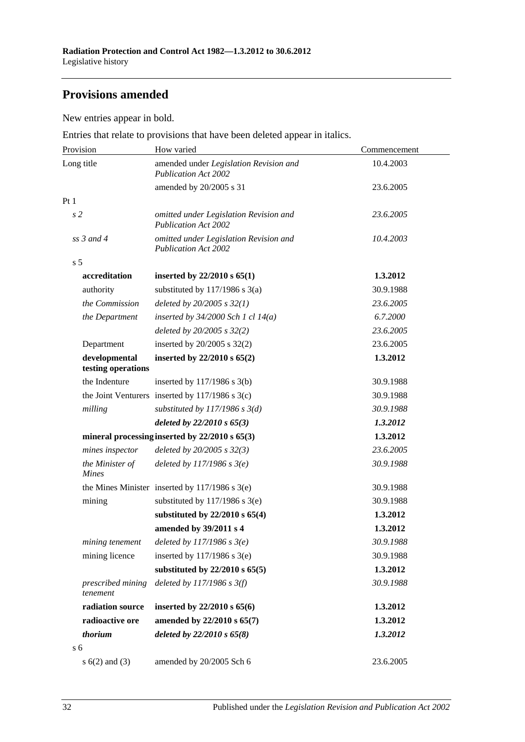### **Provisions amended**

New entries appear in bold.

Entries that relate to provisions that have been deleted appear in italics.

| Provision                           | How varied                                                            | Commencement |
|-------------------------------------|-----------------------------------------------------------------------|--------------|
| Long title                          | amended under Legislation Revision and<br><b>Publication Act 2002</b> | 10.4.2003    |
|                                     | amended by 20/2005 s 31                                               | 23.6.2005    |
| Pt1                                 |                                                                       |              |
| s <sub>2</sub>                      | omitted under Legislation Revision and<br><b>Publication Act 2002</b> | 23.6.2005    |
| $ss$ 3 and 4                        | omitted under Legislation Revision and<br><b>Publication Act 2002</b> | 10.4.2003    |
| s <sub>5</sub>                      |                                                                       |              |
| accreditation                       | inserted by $22/2010 s 65(1)$                                         | 1.3.2012     |
| authority                           | substituted by $117/1986$ s $3(a)$                                    | 30.9.1988    |
| the Commission                      | deleted by $20/2005$ s $32(1)$                                        | 23.6.2005    |
| the Department                      | inserted by $34/2000$ Sch 1 cl $14(a)$                                | 6.7.2000     |
|                                     | deleted by $20/2005$ s $32(2)$                                        | 23.6.2005    |
| Department                          | inserted by $20/2005$ s $32(2)$                                       | 23.6.2005    |
| developmental<br>testing operations | inserted by 22/2010 s 65(2)                                           | 1.3.2012     |
| the Indenture                       | inserted by $117/1986$ s $3(b)$                                       | 30.9.1988    |
|                                     | the Joint Venturers inserted by $117/1986$ s $3(c)$                   | 30.9.1988    |
| milling                             | substituted by $117/1986$ s $3(d)$                                    | 30.9.1988    |
|                                     | deleted by $22/2010 s 65(3)$                                          | 1.3.2012     |
|                                     | mineral processing inserted by $22/2010 s 65(3)$                      | 1.3.2012     |
| mines inspector                     | deleted by $20/2005 s 32(3)$                                          | 23.6.2005    |
| the Minister of<br><b>Mines</b>     | deleted by $117/1986 s 3(e)$                                          | 30.9.1988    |
|                                     | the Mines Minister inserted by $117/1986$ s $3(e)$                    | 30.9.1988    |
| mining                              | substituted by $117/1986$ s 3(e)                                      | 30.9.1988    |
|                                     | substituted by $22/2010$ s $65(4)$                                    | 1.3.2012     |
|                                     | amended by 39/2011 s 4                                                | 1.3.2012     |
| mining tenement                     | deleted by $117/1986$ s $3(e)$                                        | 30.9.1988    |
| mining licence                      | inserted by $117/1986$ s $3(e)$                                       | 30.9.1988    |
|                                     | substituted by $22/2010$ s $65(5)$                                    | 1.3.2012     |
| prescribed mining<br>tenement       | deleted by $117/1986 s 3(f)$                                          | 30.9.1988    |
| radiation source                    | inserted by 22/2010 s 65(6)                                           | 1.3.2012     |
| radioactive ore                     | amended by 22/2010 s 65(7)                                            | 1.3.2012     |
| thorium                             | deleted by $22/2010 s 65(8)$                                          | 1.3.2012     |
| s <sub>6</sub>                      |                                                                       |              |
| s $6(2)$ and $(3)$                  | amended by 20/2005 Sch 6                                              | 23.6.2005    |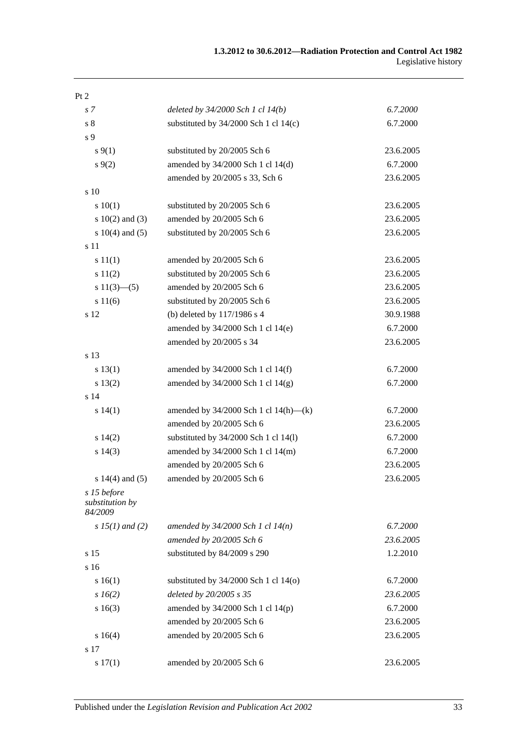| Pt 2                                      |                                            |           |
|-------------------------------------------|--------------------------------------------|-----------|
| s <sub>7</sub>                            | deleted by $34/2000$ Sch 1 cl $14(b)$      | 6.7.2000  |
| $\sqrt{s}$ 8                              | substituted by $34/2000$ Sch 1 cl 14(c)    | 6.7.2000  |
| s 9                                       |                                            |           |
| $s \, 9(1)$                               | substituted by 20/2005 Sch 6               | 23.6.2005 |
| $s \, 9(2)$                               | amended by 34/2000 Sch 1 cl 14(d)          | 6.7.2000  |
|                                           | amended by 20/2005 s 33, Sch 6             | 23.6.2005 |
| s 10                                      |                                            |           |
| 10(1)                                     | substituted by 20/2005 Sch 6               | 23.6.2005 |
| s $10(2)$ and $(3)$                       | amended by 20/2005 Sch 6                   | 23.6.2005 |
| s $10(4)$ and $(5)$                       | substituted by 20/2005 Sch 6               | 23.6.2005 |
| s 11                                      |                                            |           |
| s 11(1)                                   | amended by 20/2005 Sch 6                   | 23.6.2005 |
| s 11(2)                                   | substituted by 20/2005 Sch 6               | 23.6.2005 |
| s $11(3)$ —(5)                            | amended by 20/2005 Sch 6                   | 23.6.2005 |
| s 11(6)                                   | substituted by 20/2005 Sch 6               | 23.6.2005 |
| s 12                                      | (b) deleted by 117/1986 s 4                | 30.9.1988 |
|                                           | amended by 34/2000 Sch 1 cl 14(e)          | 6.7.2000  |
|                                           | amended by 20/2005 s 34                    | 23.6.2005 |
| s 13                                      |                                            |           |
| s 13(1)                                   | amended by 34/2000 Sch 1 cl 14(f)          | 6.7.2000  |
| s 13(2)                                   | amended by 34/2000 Sch 1 cl 14(g)          | 6.7.2000  |
| s 14                                      |                                            |           |
| s 14(1)                                   | amended by $34/2000$ Sch 1 cl $14(h)$ —(k) | 6.7.2000  |
|                                           | amended by 20/2005 Sch 6                   | 23.6.2005 |
| s 14(2)                                   | substituted by 34/2000 Sch 1 cl 14(l)      | 6.7.2000  |
| s 14(3)                                   | amended by 34/2000 Sch 1 cl 14(m)          | 6.7.2000  |
|                                           | amended by 20/2005 Sch 6                   | 23.6.2005 |
| s $14(4)$ and $(5)$                       | amended by 20/2005 Sch 6                   | 23.6.2005 |
| s 15 before<br>substitution by<br>84/2009 |                                            |           |
| s $15(1)$ and (2)                         | amended by $34/2000$ Sch 1 cl $14(n)$      | 6.7.2000  |
|                                           | amended by 20/2005 Sch 6                   | 23.6.2005 |
| s 15                                      | substituted by 84/2009 s 290               | 1.2.2010  |
| s 16                                      |                                            |           |
| s 16(1)                                   | substituted by $34/2000$ Sch 1 cl $14(0)$  | 6.7.2000  |
| $s\,16(2)$                                | deleted by 20/2005 s 35                    | 23.6.2005 |
| s16(3)                                    | amended by $34/2000$ Sch 1 cl $14(p)$      | 6.7.2000  |
|                                           | amended by 20/2005 Sch 6                   | 23.6.2005 |
| s16(4)                                    | amended by 20/2005 Sch 6                   | 23.6.2005 |
| s 17                                      |                                            |           |
| s 17(1)                                   | amended by 20/2005 Sch 6                   | 23.6.2005 |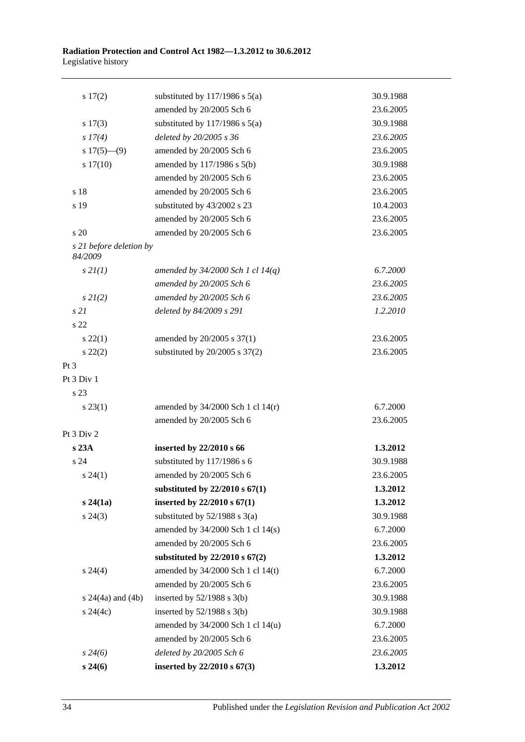| 17(2)                              | substituted by $117/1986$ s $5(a)$    | 30.9.1988 |
|------------------------------------|---------------------------------------|-----------|
|                                    | amended by 20/2005 Sch 6              | 23.6.2005 |
| $s\ 17(3)$                         | substituted by $117/1986$ s $5(a)$    | 30.9.1988 |
| s 17(4)                            | deleted by 20/2005 s 36               | 23.6.2005 |
| $s 17(5)$ —(9)                     | amended by 20/2005 Sch 6              | 23.6.2005 |
| 17(10)                             | amended by 117/1986 s 5(b)            | 30.9.1988 |
|                                    | amended by 20/2005 Sch 6              | 23.6.2005 |
| s 18                               | amended by 20/2005 Sch 6              | 23.6.2005 |
| s 19                               | substituted by 43/2002 s 23           | 10.4.2003 |
|                                    | amended by 20/2005 Sch 6              | 23.6.2005 |
| s 20                               | amended by 20/2005 Sch 6              | 23.6.2005 |
| s 21 before deletion by<br>84/2009 |                                       |           |
| s2I(1)                             | amended by $34/2000$ Sch 1 cl $14(q)$ | 6.7.2000  |
|                                    | amended by 20/2005 Sch 6              | 23.6.2005 |
| $s\,2I(2)$                         | amended by 20/2005 Sch 6              | 23.6.2005 |
| s21                                | deleted by 84/2009 s 291              | 1.2.2010  |
| s <sub>22</sub>                    |                                       |           |
| $s\,22(1)$                         | amended by 20/2005 s 37(1)            | 23.6.2005 |
| $s\ 22(2)$                         | substituted by $20/2005$ s $37(2)$    | 23.6.2005 |
| Pt 3                               |                                       |           |
| Pt 3 Div 1                         |                                       |           |
| s 23                               |                                       |           |
| $s\,23(1)$                         | amended by $34/2000$ Sch 1 cl $14(r)$ | 6.7.2000  |
|                                    | amended by 20/2005 Sch 6              | 23.6.2005 |
| Pt 3 Div 2                         |                                       |           |
| s 23A                              | inserted by 22/2010 s 66              | 1.3.2012  |
| s 24                               | substituted by 117/1986 s 6           | 30.9.1988 |
| $s\,24(1)$                         | amended by 20/2005 Sch 6              | 23.6.2005 |
|                                    | substituted by $22/2010$ s $67(1)$    | 1.3.2012  |
| s24(1a)                            | inserted by $22/2010 s 67(1)$         | 1.3.2012  |
| $s\,24(3)$                         | substituted by $52/1988$ s $3(a)$     | 30.9.1988 |
|                                    | amended by $34/2000$ Sch 1 cl $14(s)$ | 6.7.2000  |
|                                    | amended by 20/2005 Sch 6              | 23.6.2005 |
|                                    | substituted by $22/2010$ s $67(2)$    | 1.3.2012  |
| $s\,24(4)$                         | amended by 34/2000 Sch 1 cl 14(t)     | 6.7.2000  |
|                                    | amended by 20/2005 Sch 6              | 23.6.2005 |
| s $24(4a)$ and $(4b)$              | inserted by $52/1988$ s $3(b)$        | 30.9.1988 |
| $s\,24(4c)$                        | inserted by $52/1988$ s $3(b)$        | 30.9.1988 |
|                                    | amended by 34/2000 Sch 1 cl 14(u)     | 6.7.2000  |
|                                    | amended by 20/2005 Sch 6              | 23.6.2005 |
| $s\,24(6)$                         | deleted by 20/2005 Sch 6              | 23.6.2005 |
| $s\,24(6)$                         | inserted by 22/2010 s 67(3)           | 1.3.2012  |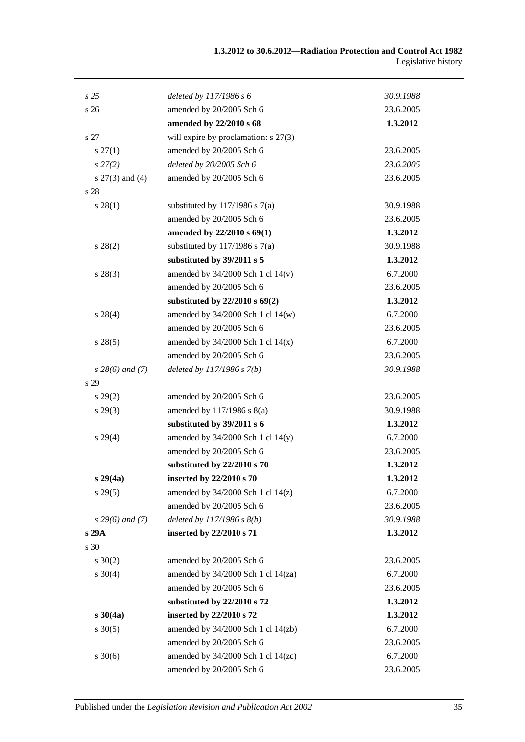| s <sub>25</sub>     | deleted by 117/1986 s 6                 | 30.9.1988 |
|---------------------|-----------------------------------------|-----------|
| s <sub>26</sub>     | amended by 20/2005 Sch 6                | 23.6.2005 |
|                     | amended by 22/2010 s 68                 | 1.3.2012  |
| s 27                | will expire by proclamation: s 27(3)    |           |
| $s\,27(1)$          | amended by 20/2005 Sch 6                | 23.6.2005 |
| $s\,27(2)$          | deleted by 20/2005 Sch 6                | 23.6.2005 |
| s $27(3)$ and $(4)$ | amended by 20/2005 Sch 6                | 23.6.2005 |
| s 28                |                                         |           |
| $s\,28(1)$          | substituted by $117/1986$ s $7(a)$      | 30.9.1988 |
|                     | amended by 20/2005 Sch 6                | 23.6.2005 |
|                     | amended by 22/2010 s 69(1)              | 1.3.2012  |
| $s\,28(2)$          | substituted by $117/1986$ s $7(a)$      | 30.9.1988 |
|                     | substituted by 39/2011 s 5              | 1.3.2012  |
| $s\,28(3)$          | amended by $34/2000$ Sch 1 cl $14(v)$   | 6.7.2000  |
|                     | amended by 20/2005 Sch 6                | 23.6.2005 |
|                     | substituted by $22/2010$ s $69(2)$      | 1.3.2012  |
| $s\,28(4)$          | amended by 34/2000 Sch 1 cl 14(w)       | 6.7.2000  |
|                     | amended by 20/2005 Sch 6                | 23.6.2005 |
| s 28(5)             | amended by $34/2000$ Sch 1 cl $14(x)$   | 6.7.2000  |
|                     | amended by 20/2005 Sch 6                | 23.6.2005 |
| $s$ 28(6) and (7)   | deleted by $117/1986 s 7(b)$            | 30.9.1988 |
| s 29                |                                         |           |
| $s\,29(2)$          | amended by 20/2005 Sch 6                | 23.6.2005 |
| $s\,29(3)$          | amended by 117/1986 s 8(a)              | 30.9.1988 |
|                     | substituted by 39/2011 s 6              | 1.3.2012  |
| s 29(4)             | amended by 34/2000 Sch 1 cl 14(y)       | 6.7.2000  |
|                     | amended by 20/2005 Sch 6                | 23.6.2005 |
|                     | substituted by 22/2010 s 70             | 1.3.2012  |
| $s\,29(4a)$         | inserted by 22/2010 s 70                | 1.3.2012  |
| $s\,29(5)$          | amended by $34/2000$ Sch 1 cl $14(z)$   | 6.7.2000  |
|                     | amended by 20/2005 Sch 6                | 23.6.2005 |
| $s$ 29(6) and (7)   | deleted by $117/1986 s 8(b)$            | 30.9.1988 |
| s 29A               | inserted by 22/2010 s 71                | 1.3.2012  |
| s 30                |                                         |           |
| $s \ 30(2)$         | amended by 20/2005 Sch 6                | 23.6.2005 |
| $s \ 30(4)$         | amended by 34/2000 Sch 1 cl 14(za)      | 6.7.2000  |
|                     | amended by 20/2005 Sch 6                | 23.6.2005 |
|                     | substituted by 22/2010 s 72             | 1.3.2012  |
| $s \, 30(4a)$       | inserted by 22/2010 s 72                | 1.3.2012  |
| $s \ 30(5)$         | amended by $34/2000$ Sch 1 cl $14$ (zb) | 6.7.2000  |
|                     | amended by 20/2005 Sch 6                | 23.6.2005 |
| $s \ 30(6)$         | amended by $34/2000$ Sch 1 cl $14(zc)$  | 6.7.2000  |
|                     | amended by 20/2005 Sch 6                | 23.6.2005 |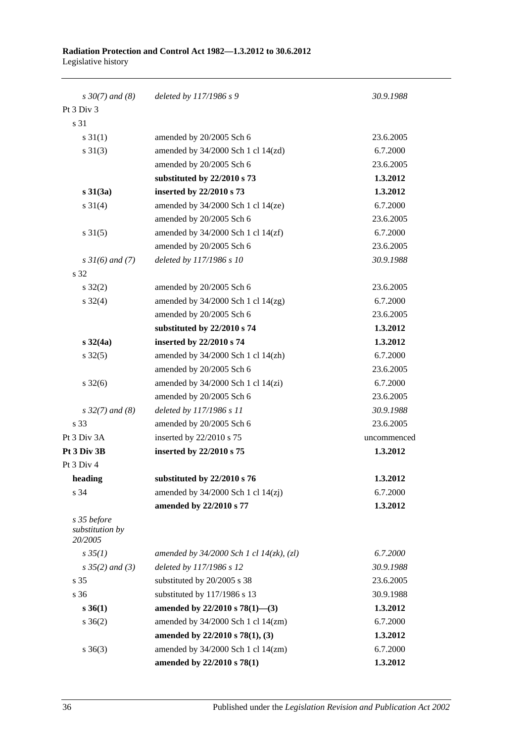| $s \, 30(7)$ and (8)                      | deleted by 117/1986 s 9                       | 30.9.1988   |
|-------------------------------------------|-----------------------------------------------|-------------|
| Pt 3 Div 3                                |                                               |             |
| s 31                                      |                                               |             |
| $s \, 31(1)$                              | amended by 20/2005 Sch 6                      | 23.6.2005   |
| $s \ 31(3)$                               | amended by 34/2000 Sch 1 cl 14(zd)            | 6.7.2000    |
|                                           | amended by 20/2005 Sch 6                      | 23.6.2005   |
|                                           | substituted by 22/2010 s 73                   | 1.3.2012    |
| $s \, 31(3a)$                             | inserted by 22/2010 s 73                      | 1.3.2012    |
| $s \ 31(4)$                               | amended by 34/2000 Sch 1 cl 14(ze)            | 6.7.2000    |
|                                           | amended by 20/2005 Sch 6                      | 23.6.2005   |
| $s \, 31(5)$                              | amended by $34/2000$ Sch 1 cl $14(zf)$        | 6.7.2000    |
|                                           | amended by 20/2005 Sch 6                      | 23.6.2005   |
| $s \, 31(6)$ and (7)                      | deleted by 117/1986 s 10                      | 30.9.1988   |
| s 32                                      |                                               |             |
| $s \, 32(2)$                              | amended by 20/2005 Sch 6                      | 23.6.2005   |
| $s \frac{32(4)}{2}$                       | amended by 34/2000 Sch 1 cl 14(zg)            | 6.7.2000    |
|                                           | amended by 20/2005 Sch 6                      | 23.6.2005   |
|                                           | substituted by 22/2010 s 74                   | 1.3.2012    |
| $s \, 32(4a)$                             | inserted by 22/2010 s 74                      | 1.3.2012    |
| $s \, 32(5)$                              | amended by $34/2000$ Sch 1 cl $14(\text{zh})$ | 6.7.2000    |
|                                           | amended by 20/2005 Sch 6                      | 23.6.2005   |
| $s \frac{32(6)}{2}$                       | amended by $34/2000$ Sch 1 cl $14(zi)$        | 6.7.2000    |
|                                           | amended by 20/2005 Sch 6                      | 23.6.2005   |
| $s\,32(7)$ and (8)                        | deleted by 117/1986 s 11                      | 30.9.1988   |
| s 33                                      | amended by 20/2005 Sch 6                      | 23.6.2005   |
| Pt 3 Div 3A                               | inserted by 22/2010 s 75                      | uncommenced |
| Pt 3 Div 3B                               | inserted by 22/2010 s 75                      | 1.3.2012    |
| Pt 3 Div 4                                |                                               |             |
| heading                                   | substituted by 22/2010 s 76                   | 1.3.2012    |
| s 34                                      | amended by $34/2000$ Sch 1 cl $14(zi)$        | 6.7.2000    |
|                                           | amended by 22/2010 s 77                       | 1.3.2012    |
| s 35 before<br>substitution by<br>20/2005 |                                               |             |
| $s \, 35(1)$                              | amended by $34/2000$ Sch 1 cl $14(zk)$ , (zl) | 6.7.2000    |
| $s \, 35(2)$ and (3)                      | deleted by 117/1986 s 12                      | 30.9.1988   |
| s 35                                      | substituted by 20/2005 s 38                   | 23.6.2005   |
| s 36                                      | substituted by 117/1986 s 13                  | 30.9.1988   |
| $s \, 36(1)$                              | amended by 22/2010 s 78(1)-(3)                | 1.3.2012    |
| $s \; 36(2)$                              | amended by 34/2000 Sch 1 cl 14(zm)            | 6.7.2000    |
|                                           | amended by $22/2010$ s $78(1)$ , (3)          | 1.3.2012    |
| $s \; 36(3)$                              | amended by 34/2000 Sch 1 cl 14(zm)            | 6.7.2000    |
|                                           | amended by 22/2010 s 78(1)                    | 1.3.2012    |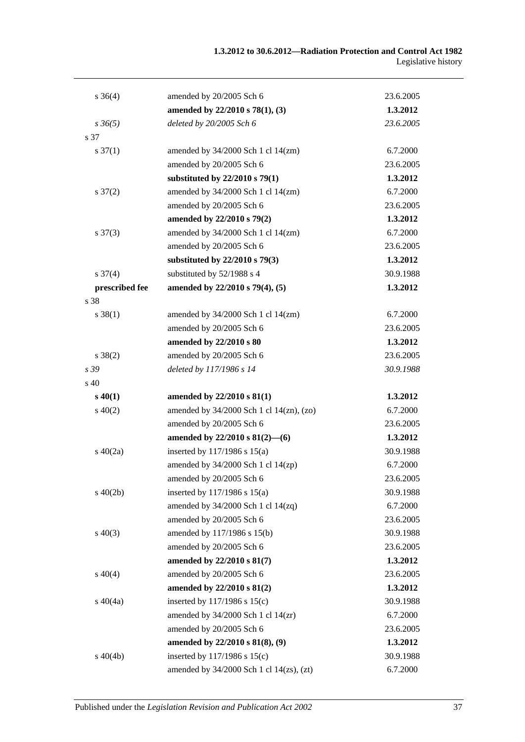| $s \; 36(4)$        | amended by 20/2005 Sch 6                 | 23.6.2005 |
|---------------------|------------------------------------------|-----------|
|                     | amended by 22/2010 s 78(1), (3)          | 1.3.2012  |
| $s \, 36(5)$        | deleted by 20/2005 Sch 6                 | 23.6.2005 |
| s 37                |                                          |           |
| $s \frac{37(1)}{2}$ | amended by $34/2000$ Sch 1 cl $14$ (zm)  | 6.7.2000  |
|                     | amended by 20/2005 Sch 6                 | 23.6.2005 |
|                     | substituted by $22/2010$ s 79(1)         | 1.3.2012  |
| $s \frac{37(2)}{2}$ | amended by 34/2000 Sch 1 cl 14(zm)       | 6.7.2000  |
|                     | amended by 20/2005 Sch 6                 | 23.6.2005 |
|                     | amended by 22/2010 s 79(2)               | 1.3.2012  |
| $s \frac{37(3)}{2}$ | amended by $34/2000$ Sch 1 cl $14$ (zm)  | 6.7.2000  |
|                     | amended by 20/2005 Sch 6                 | 23.6.2005 |
|                     | substituted by 22/2010 s 79(3)           | 1.3.2012  |
| $s \frac{37(4)}{4}$ | substituted by 52/1988 s 4               | 30.9.1988 |
| prescribed fee      | amended by 22/2010 s 79(4), (5)          | 1.3.2012  |
| s 38                |                                          |           |
| $s \, 38(1)$        | amended by 34/2000 Sch 1 cl 14(zm)       | 6.7.2000  |
|                     | amended by 20/2005 Sch 6                 | 23.6.2005 |
|                     | amended by 22/2010 s 80                  | 1.3.2012  |
| $s \ 38(2)$         | amended by 20/2005 Sch 6                 | 23.6.2005 |
| s 39                | deleted by 117/1986 s 14                 | 30.9.1988 |
| $\rm s$ 40          |                                          |           |
| $s\,40(1)$          | amended by $22/2010 s 81(1)$             | 1.3.2012  |
| $s\ 40(2)$          | amended by 34/2000 Sch 1 cl 14(zn), (zo) | 6.7.2000  |
|                     | amended by 20/2005 Sch 6                 | 23.6.2005 |
|                     | amended by $22/2010$ s $81(2)$ —(6)      | 1.3.2012  |
| $s\ 40(2a)$         | inserted by 117/1986 s 15(a)             | 30.9.1988 |
|                     | amended by 34/2000 Sch 1 cl 14(zp)       | 6.7.2000  |
|                     | amended by 20/2005 Sch 6                 | 23.6.2005 |
| $s\ 40(2b)$         | inserted by $117/1986$ s $15(a)$         | 30.9.1988 |
|                     | amended by $34/2000$ Sch 1 cl $14(zq)$   | 6.7.2000  |
|                     | amended by 20/2005 Sch 6                 | 23.6.2005 |
| $s\ 40(3)$          | amended by 117/1986 s 15(b)              | 30.9.1988 |
|                     | amended by 20/2005 Sch 6                 | 23.6.2005 |
|                     | amended by 22/2010 s 81(7)               | 1.3.2012  |
| $s\ 40(4)$          | amended by 20/2005 Sch 6                 | 23.6.2005 |
|                     | amended by 22/2010 s 81(2)               | 1.3.2012  |
| $s\ 40(4a)$         | inserted by 117/1986 s 15(c)             | 30.9.1988 |
|                     | amended by $34/2000$ Sch 1 cl $14(zr)$   | 6.7.2000  |
|                     | amended by 20/2005 Sch 6                 | 23.6.2005 |
|                     | amended by 22/2010 s 81(8), (9)          | 1.3.2012  |
| $s\ 40(4b)$         | inserted by $117/1986$ s $15(c)$         | 30.9.1988 |
|                     | amended by 34/2000 Sch 1 cl 14(zs), (zt) | 6.7.2000  |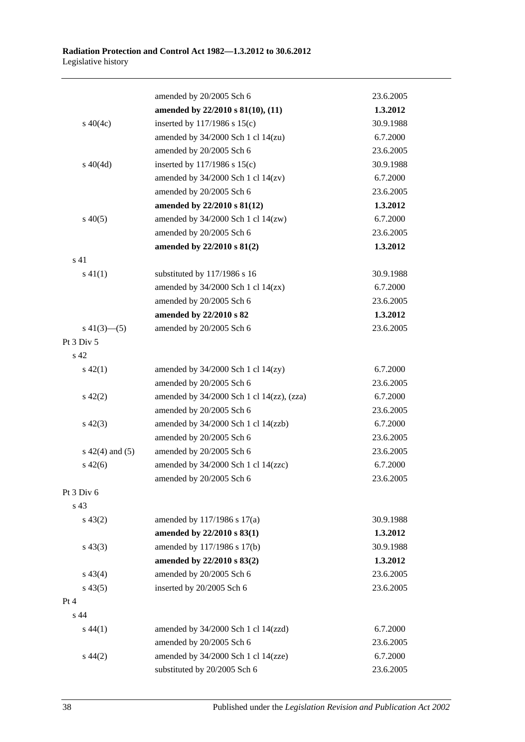|                    | amended by 20/2005 Sch 6                       | 23.6.2005 |
|--------------------|------------------------------------------------|-----------|
|                    | amended by 22/2010 s 81(10), (11)              | 1.3.2012  |
| $s\ 40(4c)$        | inserted by 117/1986 s 15(c)                   | 30.9.1988 |
|                    | amended by $34/2000$ Sch 1 cl $14(zu)$         | 6.7.2000  |
|                    | amended by 20/2005 Sch 6                       | 23.6.2005 |
| $s\ 40(4d)$        | inserted by $117/1986$ s $15(c)$               | 30.9.1988 |
|                    | amended by $34/2000$ Sch 1 cl $14(zv)$         | 6.7.2000  |
|                    | amended by 20/2005 Sch 6                       | 23.6.2005 |
|                    | amended by 22/2010 s 81(12)                    | 1.3.2012  |
| $s\ 40(5)$         | amended by 34/2000 Sch 1 cl 14(zw)             | 6.7.2000  |
|                    | amended by 20/2005 Sch 6                       | 23.6.2005 |
|                    | amended by 22/2010 s 81(2)                     | 1.3.2012  |
| s <sub>41</sub>    |                                                |           |
| $s\ 41(1)$         | substituted by 117/1986 s 16                   | 30.9.1988 |
|                    | amended by $34/2000$ Sch 1 cl $14(zx)$         | 6.7.2000  |
|                    | amended by 20/2005 Sch 6                       | 23.6.2005 |
|                    | amended by 22/2010 s 82                        | 1.3.2012  |
| $s\ 41(3)$ (5)     | amended by 20/2005 Sch 6                       | 23.6.2005 |
| Pt 3 Div 5         |                                                |           |
| s 42               |                                                |           |
| $s\ 42(1)$         | amended by $34/2000$ Sch 1 cl $14(zy)$         | 6.7.2000  |
|                    | amended by 20/2005 Sch 6                       | 23.6.2005 |
| $s\ 42(2)$         | amended by $34/2000$ Sch 1 cl $14(zz)$ , (zza) | 6.7.2000  |
|                    | amended by 20/2005 Sch 6                       | 23.6.2005 |
| $s\ 42(3)$         | amended by 34/2000 Sch 1 cl 14(zzb)            | 6.7.2000  |
|                    | amended by 20/2005 Sch 6                       | 23.6.2005 |
| $s\ 42(4)$ and (5) | amended by 20/2005 Sch 6                       | 23.6.2005 |
| $s\ 42(6)$         | amended by 34/2000 Sch 1 cl 14(zzc)            | 6.7.2000  |
|                    | amended by $20\!/2005$ Sch $6$                 | 23.6.2005 |
| Pt 3 Div 6         |                                                |           |
| s <sub>43</sub>    |                                                |           |
| $s\,43(2)$         | amended by 117/1986 s 17(a)                    | 30.9.1988 |
|                    | amended by 22/2010 s 83(1)                     | 1.3.2012  |
| $s\,43(3)$         | amended by 117/1986 s 17(b)                    | 30.9.1988 |
|                    | amended by 22/2010 s 83(2)                     | 1.3.2012  |
| $s\,43(4)$         | amended by 20/2005 Sch 6                       | 23.6.2005 |
| $s\,43(5)$         | inserted by 20/2005 Sch 6                      | 23.6.2005 |
| Pt 4               |                                                |           |
| s <sub>44</sub>    |                                                |           |
| $s\,44(1)$         | amended by 34/2000 Sch 1 cl 14(zzd)            | 6.7.2000  |
|                    | amended by 20/2005 Sch 6                       | 23.6.2005 |
| $s\,44(2)$         | amended by 34/2000 Sch 1 cl 14(zze)            | 6.7.2000  |
|                    | substituted by 20/2005 Sch 6                   | 23.6.2005 |